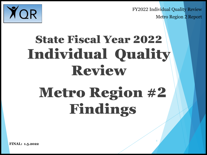1





## State Fiscal Year 2022 Individual Quality Review Metro Region #2 Findings

**FINAL: 1.5.2022**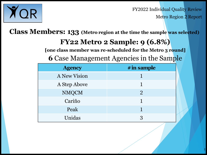

FY2022 Individual Quality Review Metro Region 2 Report

**Class Members: 133 (Metro region at the time the sample was selected)**

#### **FY22 Metro 2 Sample: 9 (6.8%)**

**[one class member was re-scheduled for the Metro 3 round]**

**6** Case Management Agencies in the Sample

| <b>Agency</b>       | $#$ in sample  |
|---------------------|----------------|
| <b>A New Vision</b> |                |
| A Step Above        | 1              |
| <b>NMQCM</b>        | $\overline{2}$ |
| Cariño              |                |
| Peak                | 1              |
| Unidas              | 3              |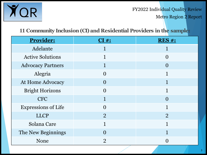

Metro Region 2 Report

#### **11 Community Inclusion (CI) and Residential Providers in the sample:**

| <b>Provider:</b>           | CI#            | <b>RES#:</b>       |
|----------------------------|----------------|--------------------|
| Adelante                   |                |                    |
| <b>Active Solutions</b>    | 1              | $\Omega$           |
| <b>Advocacy Partners</b>   | 1              | $\bm{\mathrm{()}}$ |
| Alegria                    | $\Omega$       | 1                  |
| <b>At Home Advocacy</b>    | $\Omega$       |                    |
| <b>Bright Horizons</b>     | $\Omega$       |                    |
| <b>CFC</b>                 | 1              | $\left( \right)$   |
| <b>Expressions of Life</b> | $\Omega$       | 1                  |
| <b>LLCP</b>                | $\overline{2}$ | $\overline{2}$     |
| Solana Care                |                | $\mathbf{1}$       |
| The New Beginnings         | $\bigcap$      |                    |
| <b>None</b>                | $\overline{2}$ |                    |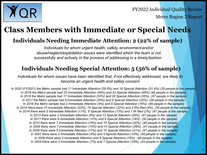

Metro Region 2 Report

### **Class Members with Immediate or Special Needs**

#### **Individuals Needing Immediate Attention: 2 (22% of sample)**

*Individuals for whom urgent health, safety, environmentand/or abuse/neglect/exploitation issues were identified which the team is not successfully and actively in the process of addressing in a timelyfashion*

#### **Individuals Needing Special Attention: 5 (56% of sample)**

*Individuals for whom issues have been identified that, if not effectively addressed, are likely to become an urgent health and safety concern*

*In 2020 (FY2021) the Metro sample had 11 Immediate Attention (28.6%) and 18 Special Attention (51.4%) (35 people in the sample) In 2019 the Metro sample had 22 Immediate Attention (46%) and 23 Special Attention (48%) (48 people in the sample) In 2018 the Metro sample had 17 Immediate Attention (35%) and 20 Special Attention (35%). (47 people in the sample) In 2017 the Metro sample had 9 Immediate Attention (35%) and 9 Special Attention (35%). (26 people in the sample) In 2016 the Metro sample had 2 Immediate Attention (4%) and 9 Special Attention (18%). (49 people in the sample) In 2015 there were 10 Immediate Attention (20%); 16 Special Attention (32%) and 2 IRs filed (4%). (50 people in the sample) In 2014 there were 5 Immediate Attention (11%), 6 Special Attention (13%) and 1 IR filed (2%). (47 people in the sample) In 2013 there were 3 Immediate Attention (6%) and 12 Special Attention (26%). (47 people in the sample) In 2011 there were 6 Immediate Attention (12%) and 9 Special Attention (18%). (50 people in the sample) In 2010 there were 7 Immediate Attention (14%) and 10 Special Attention (20%). (49 people in the sample) In 2009 there were 7 Immediate Attention (15%) and 13 Special Attention (28%). (47 people in the sample) In 2008 there were 5 Immediate Attention (11%) and 10 Special Attention (21%). (47 people in the sample) In 2007 there were 2 Immediate Attention (4%) and 5 Special Attention (10%). (49 people in the sample) In 2006 there were 0 Immediate Attention and 8 Special Attention (16%). (49 people in the sample) In 2005 there were 3 Immediate Attention (7%) and 7 Special Attention (16%). (43 people in the sample)*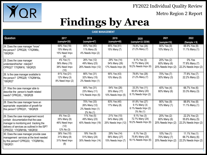

Metro Region 2 Report

## **Findings by Area**

| <b>CASE MANAGEMENT</b>                                                                                                                                                                               |                                                                   |                                                                 |                                                      |                                                                     |                                                   |                                                         |  |
|------------------------------------------------------------------------------------------------------------------------------------------------------------------------------------------------------|-------------------------------------------------------------------|-----------------------------------------------------------------|------------------------------------------------------|---------------------------------------------------------------------|---------------------------------------------------|---------------------------------------------------------|--|
| Question                                                                                                                                                                                             | 2017<br>(sample=26)                                               | 2018<br>(sample=47)                                             | 2019<br>(sample=48)                                  | 2020<br>(sample=33 DDW)                                             | 2021<br>(sample=10)                               | 2022<br>$(Sample = 9)$                                  |  |
| 24. Does the case manager "know"<br>the person? CPRQ26; '17IQR#8c,<br>'18IQR24                                                                                                                       | 69% Yes (18)<br>15% Many (4)<br>15% Need Impv                     | 85% Yes (40)<br>11% Many (5)<br>4% Needs Impv (2)               | 85% Yes (41)<br>15% Many (7)                         | 78.8% Yes (26)<br>21.2% Many (7)                                    | 90% Yes (9)<br>10% Many (1)                       | 88.9% Yes (8)<br>11.1% Many (1)                         |  |
| 25. Does the case manager<br>understandhis/her role/job?<br>CPRQ27 '17IQR#16, '18IQR25                                                                                                               | 4% Yes (1)<br>58% Many (15)<br>38% Need Impv<br>(10)              | 26% Yes (12)<br>49% Many (23)<br>26% Needs Impv (12)            | 29% Yes (14)<br>54% Many (26)<br>17% Needs Impv (8)  | 9.1% Yes (3)<br>72.7% Many (24)<br>18.2% Needs Impv (6)             | 20% Yes (2)<br>60% Many (6)<br>20% Needs Impv (2) | 0% Yes<br>77.8% Many (7)<br>22.2% Needs Impv (2)        |  |
| 26. Is the case manager available to<br>the person? CPRQ29; '17IQR#16a,<br>'18IQR27                                                                                                                  | 81% Yes (21)<br>12% Many (3)<br>8% Need Impv (2)                  | 66% Yes (31)<br>32% Many (15)<br>2% Needs Impv (1)              | 90% Yes (43)<br>10% Many (5)                         | 78.8% Yes (26)<br>21.2% Many (7)                                    | 70% Yes (7)<br>30% Many (3)                       | 77.8% Yes (7)<br>22.2% Many (2)                         |  |
| 27. Was the case manager able to<br>describe the person's health related<br>needs? CPRQ30, , '18IQR28                                                                                                |                                                                   | 66% Yes (31)<br>23% Many (11)<br>11% Needs Impv (5)             | 54% Yes (26)<br>35% Many (17)<br>10% Needs Impv (5)  | 33.3% Yes (11)<br>60.6% Many (20)<br>6.1% Needs Impv (2)            | $40\%$ Yes (4)<br>60% Many (6)                    | 66.7% Yes (6)<br>33.3% Many (3)                         |  |
| 28. Does the case manager have an<br>appropriate expectation of growth for<br>this person? CPRQ31, '18IQR29                                                                                          |                                                                   | 70% Yes (33)<br>26% Many (12)<br>2% Needs Impv (1)<br>2% No (1) | 83% Yes (40)<br>17% Many (8)                         | 81.8% Yes (27)<br>9.1% Many (3)<br>6.1% Needs Impv (2)<br>3% No (1) | 90% Yes (9)<br>10% Many (1)                       | 88.9% Yes (8)<br>11.1% Many (1)                         |  |
| 29. Does the case management record<br>contain documentation that the case<br>manager is monitoring and tracking the<br>delivery of services as outlined in the ISP?<br>CPRQ32; '17IQR#16b, '18IQR30 | 8% Yes (2)<br>35% Many (9)<br>46% Need Impv<br>(12)<br>12% No (3) | 11% Yes (5)<br>49% Many (23)<br>40% Needs Impv (19)             | 21% Yes (10)<br>54% Many (26)<br>25% Needs Impv (12) | 9.1% Yes (3)<br>72.7% Many (24)<br>18.2% Needs Impv (6)             | 20% Yes (2)<br>60% Many (6)<br>20% Needs Impv (2) | 22.2% Yes (2)<br>55.6% Many (5)<br>22.2% Needs Impv (2) |  |
| 30. Does the case manager provide case<br>management services at the level needed<br>by this person? CPRQ33; '17IQR#16c,<br>'18IQR31                                                                 | 38% Yes (10)<br>31% Many (8)<br>31% Need Impv<br>(8)              | 19% Yes (9)<br>51% Many (24)<br>30% Needs Impv (14)             | 29% Yes (14)<br>56% Many (27)<br>15% Needs Impv (7)  | 6.1% Yes (2)<br>75.8% Many (25)<br>18.1% Needs Impv (6)             | 10% Yes (1)<br>70% Many (7)<br>20% Needs Impv (2) | 11.1% Yes (1)<br>66.7% Many (6)<br>22.2% Needs Impv (2) |  |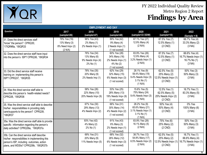

|                                                                                                                                                                                  |                                                             | <b>EMPLOYMENT AND DAY</b>                                      |                                                                                   |                                                                                           |                                                                    |                                                                   |
|----------------------------------------------------------------------------------------------------------------------------------------------------------------------------------|-------------------------------------------------------------|----------------------------------------------------------------|-----------------------------------------------------------------------------------|-------------------------------------------------------------------------------------------|--------------------------------------------------------------------|-------------------------------------------------------------------|
| Question                                                                                                                                                                         | 2017<br>(sample=26)                                         | 2018<br>(sample=47)                                            | 2019<br>(sample=48)                                                               | 2020<br>(sample=33 DDW)                                                                   | 2021<br>(sample=10)                                                | 2022<br>$(Sample = 9)$                                            |
| 31. Does the direct services staff<br>"know" the person? CPRQ35;<br>'17IQR#8a, '18IQR33                                                                                          | 79% Yes (19)<br>13% Many (3)<br>8% Need Impv (2)<br>(2 N/A) | 96% Yes (43)<br>2% Many (1)<br>2% Needs Impv (1)               | 89% Yes (42)<br>9% Many (4)<br>2 Needs Impv (1)<br>(1 not scored)                 | 87.1% Yes (27)<br>12.9% Many (4)<br>(2 N/A)                                               | 87.5% Yes (7)<br>12.5% Many (1)<br>$(2$ CND)                       | 66.7% Yes (4)<br>33.3% Many (2)<br>(3 NA)                         |
| 32. Does the direct service staff have input<br>into the person's ISP? CPRQ36, '18IQR34                                                                                          |                                                             | 76% Yes (34)<br>13% Many (6)<br>9% Needs Impv (4)<br>2% No (1) | 60% Yes (28)<br>34% Many (16)<br>2% Needs Impv (1)<br>4% No (2)<br>(1 not scored) | 83.9% Yes (26)<br>12.9% Many (4)<br>3.2% Needs Impv (1)<br>(2 N/A)                        | 87.5% Yes (7)<br>12.5% Many (1)<br>$(2$ CND)                       | 66.6% Yes (4)<br>16.7% Needs Impv (1)<br>16.7% No (1)<br>(3 NA)   |
| 33. Did the direct service staff receive<br>training on implementing this person's<br>ISP? CPRQ37, '18IQR35                                                                      |                                                             | 78% Yes (35)<br>20% Many (9)<br>2% Needs Imp (1)               | 62% Yes (29)<br>32% Many (15)<br>6% Needs Impv (3)<br>(1 not scored)              | $28.1\%$ Yes (9)<br>59.4% Many (19)<br>9.4% Needs Impv (3)<br>$3.1\%$ No $(1)$<br>(1 N/A) | 62.5% Yes (5)<br>25% Many (2)<br>12.5% Needs Impv (1)<br>$(2$ CND) | 50% Yes (3)<br>50% Many (3)<br>(3 NA)                             |
| 34. Was the direct service staff able to<br>describe this person's health-related needs?<br>CPRQ38, '18IQR36                                                                     |                                                             | 58% Yes (26)<br>22% Many (10)<br>20% Needs Impv (9)            | 53% Yes (25)<br>28% Many (13)<br>19% Needs Impv (9)<br>(1 not scored)             | 15.6% Yes (5)<br>75% Many (24)<br>9.4% Needs Impv (3)<br>(1 N/A)                          | 12.5% Yes (1)<br>62.5% Many (5)<br>25% Needs Impv (2)<br>$(2$ CND) | 16.7% Yes (1)<br>83.3% Many (5)<br>(3 NA)                         |
| 35. Was the direct service staff able to describe<br>his/her responsibilities in providing daily<br>care/supports to the person? CPRQ39,<br>18IQR37                              |                                                             | 67% Yes (30)<br>29% Many (13)<br>4% Needs Impv (2)             | 66% Yes (31)<br>30% Many (14)<br>4% Needs Impv (2)<br>(1 not scored)              | 28.2% Yes (9)<br>65.6% Many (21)<br>3.1% Needs Impv (1)<br>3.1% No (1)<br>(1 N/A)         | 50% Yes (4)<br>50% Many (4)<br>$(2$ CND)                           | 0% Yes<br>100% Many (6)<br>(3 NA)                                 |
| 35a. Was the direct service staff able to provide<br>specific information regarding the person's<br>daily activities? CPRQ39a, '18IQR37a                                         |                                                             | 93% Yes (42)<br>4% Many (2)<br>2% No (1)                       | 91% Yes (43)<br>6% Many (3)<br>2% Needs Impv (1)<br>(1 not scored)                | 83.9% Yes (26)<br>16.1% Many (5)<br>(2 N/A)                                               | 75% Yes (6)<br>25% Many (2)<br>$(2$ CND)                           | 50% Yes (3)<br>50% Many (3)<br>(3 NA)                             |
| 135b. Can the direct service staff describe<br>his/her responsibilities in implementing this<br>person's ISP, including outcomes, action<br>plans, and WDSIs? CPRQ39b, '18IQR37b |                                                             | 69% Yes (31)<br>20% Many (9)<br>11% Needs Impv (5)             | 68% Yes (32)<br>26% Many (12)<br>6% Needs Impv (3)<br>(1 not scored)              | 38.7% Yes (12)<br>54.8% Many (17)<br>6.5% Needs Impv (2)<br>(2 N/A)                       | 62.5% Yes (5)<br>25% Many (2)<br>12.5% Needs Impv (1)<br>$(2$ CND) | 16.7% Yes (1)<br>66.6% Many (4)<br>16.7% Needs Impv (1)<br>(3 NA) |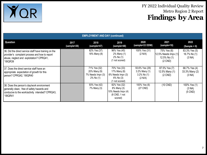

| <b>EMPLOYMENT AND DAY (continued)</b>                                                                                                                           |                     |                                                                |                                                                                       |                                                                     |                                                                  |                                           |  |  |
|-----------------------------------------------------------------------------------------------------------------------------------------------------------------|---------------------|----------------------------------------------------------------|---------------------------------------------------------------------------------------|---------------------------------------------------------------------|------------------------------------------------------------------|-------------------------------------------|--|--|
| Question                                                                                                                                                        | 2017<br>(sample=26) | 2018<br>(sample=47)                                            | 2019<br>(sample=48)                                                                   | 2020<br>(sample=33 DDW)                                             | 2021<br>(sample=10)                                              | 2022<br>$(Sample = 9)$                    |  |  |
| 36. Did the direct service staff have training on the<br>provider's complaint process and how to report<br>abuse, neglect and exploitation? CPRQ41,<br>'18IQR39 |                     | 82% Yes (37)<br>18% Many (8)                                   | 96% Yes (45)<br>2% Many (1)<br>2% No (1)<br>(1 not scored)                            | 100% Yes (31)<br>(2 N/A)                                            | 75% Yes (6)<br>12.5% Needs Impv (1)<br>12.5% No (1)<br>$(2$ CND) | 83.3% Yes (5)<br>16.7% No (1)<br>(3 NA)   |  |  |
| 37. Does the direct service staff have an<br>appropriate expectation of growth for this<br>person? CPRQ42, '18IQR40                                             |                     | 71% Yes (32)<br>20% Many (9)<br>7% Needs Impv (3)<br>2% No (1) | 70% Yes (33)<br>17% Many (8)<br>6% Needs Impv (3)<br>$6\%$ No $(3)$<br>(1 not scored) | 93.6% Yes (29)<br>$3.2\%$ Many $(1)$<br>$3.2\%$ No $(1)$<br>(2 N/A) | 87.5% Yes (7)<br>12.5% Many (1)<br>$(2$ CND)                     | 66.7% Yes (4)<br>33.3% Many (2)<br>(3 NA) |  |  |
| 38. Does the person's day/work environment<br>generally clean, free of safety hazards and<br>conducive to the work/activity intended? CPRQ43,<br>'18IQR41       |                     | 93% Yes (42)<br>7% Many (3)                                    | 82% Yes (32)<br>8% Many (3)<br>10% Needs Impv (4)<br>(8 CND, 1 not<br>scored)         | 100% Yes (6)<br>$(27$ CND)                                          | $(10$ CND)                                                       | 100% Yes (1)<br>(3 NA)<br>$(5$ CND)       |  |  |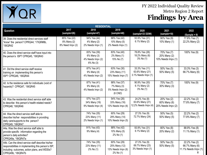

|                                                                                                                                                                                 |                                                 | <b>RESIDENTIAL</b>                                            |                                                                  |                                                          |                                                   |                                                         |
|---------------------------------------------------------------------------------------------------------------------------------------------------------------------------------|-------------------------------------------------|---------------------------------------------------------------|------------------------------------------------------------------|----------------------------------------------------------|---------------------------------------------------|---------------------------------------------------------|
| <b>Question</b>                                                                                                                                                                 | 2017<br>(sample=26)                             | 2018<br>(sample=47)                                           | 2019<br>(sample=48)                                              | 2020<br>(sample=33 DDW)                                  | 2021<br>(sample=10)                               | 2022<br>$(Sample = 9)$                                  |
| 39. Does the residential direct services staff<br>"know" the person? CPRQ44; '17IQR#8b,<br>'18IQR42                                                                             | 85% Yes (22)<br>8% Many (2)<br>8% Need Impv (2) | 94% Yes (44)<br>4% Many (2)<br>2% Needs Impv (1)              | 88% Yes (42)<br>10% Many (5)<br>2% Needs Impv (1)                | 93.9% Yes (31)<br>6.1% Many (2)                          | 90% Yes (9)<br>10% Many (1)                       | 77.8% Yes (7)<br>22.2% Many (2)                         |
| 40. Does the direct service staff have input into<br>the person's ISP? CPRQ45, '18IQR43                                                                                         |                                                 | 83% Yes (39)<br>6% Many (3)<br>4% Needs Impv (2)<br>6% No (3) | $83%$ Yes (40)<br>2% Many (1)<br>15% No (7)                      | 78.8% Yes (26)<br>18.2% Many (6)<br>3% No (1)            | 70% Yes (7)<br>20% Many (2)<br>10% Needs Impv (1) | 100% Yes (9)                                            |
| 41. Did the direct service staff receive<br>training on implementing this person's<br>ISP? CPRQ46, '18IQR44                                                                     |                                                 | 87% Yes (41)<br>9% Many (4)<br>4% Needs Impv (2)              | 63% Yes (30)<br>23% Many (11)<br>15% Needs Impv (7)              | 33.3% Yes (11)<br>63.6% Many (21)<br>3.1% Needs Impv (1) | 50% Yes (5)<br>50% Many (5)                       | 33.3% Yes (3)<br>66.7% Many (6)                         |
| 42. Is the residence safe for individuals (void of<br>hazards)? CPRQ47, '18IQR45                                                                                                |                                                 | 87% Yes (41)<br>9% Many (4)<br>4% Needs Impv (2)              | 88% Yes (37)<br>7% Many (3)<br>5% Needs Impv (2)<br>$(6$ CND)    | 90.9% Yes (30)<br>6.1% Many (2)<br>3% No (1)             | 70% Yes (7)<br>30% Many (3)                       | 100% Yes (9)                                            |
| 43. Was the residential direct service staff able<br>to describe this person's health-related needs?<br>CPRQ48, '18IQR46                                                        |                                                 | 57% Yes (27)<br>34% Many (16)<br>9% Needs Impv (4)            | 54% Yes (26)<br>33% Many (16)<br>13% Needs Impv (6)              | 24.2% Yes (8)<br>63.6% Many (21)<br>12.2% Needs Impv (4) | 20% Yes (2)<br>60% Many (6)<br>20% Needs Impv (2) | 22.2% Yes (2)<br>77.8% Many (7)                         |
| 44. Was the direct service staff able to<br>describe his/her responsibilities in providing<br>daily care/supports to the person?<br>CPRQ49, '18IQR47                            |                                                 | 74% Yes (35)<br>23% Many (11)<br>2% Needs Impv (1)            | 60% Yes (29)<br>29% Many (14)<br>10% Needs Impv (5)              | 27.3% Yes (9)<br>72.7% Many (24)                         | 50% Yes (5)<br>50% Many (5)                       | 22.2% Yes (2)<br>77.8% Many (7)                         |
| 44a. Was the direct service staff able to<br>provide specific information regarding the<br>person's daily activities?<br>CPRQ49a, '18IQR47a                                     |                                                 | 91% Yes (43)<br>9% Many (4)                                   | 88% Yes (42)<br>10% Many (5)<br>2% No (1)                        | 93.9% Yes (31)<br>6.1% Many (2)                          | 80% Yes (8)<br>20% Many (2)                       | 88.9% Yes (8)<br>11.1% Many (1)                         |
| 44b. Can the direct service staff describe his/her<br>responsibilities in implementing this person's ISP,<br>including outcomes, action plans, and WDSIs?<br>CPRQ49b, '18IQR47b |                                                 | 74% Yes (35)<br>23% Many (11)<br>2% No (1)                    | 60% Yes (29)<br>25% Many (12)<br>13% Needs Impv (6)<br>2% No (1) | 27.3% Yes (9)<br>69.7% Many (23)<br>3% Needs Impv (1)    | 50% Yes (5)<br>50% Many (5)                       | 22.2% Yes (2)<br>66.7% Many (6)<br>11.1% Needs Impv (1) |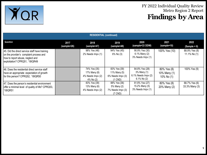

| <b>RESIDENTIAL (continued)</b>                                                                                                                                  |                     |                                                                |                                                                |                                                                        |                                           |                                 |  |  |
|-----------------------------------------------------------------------------------------------------------------------------------------------------------------|---------------------|----------------------------------------------------------------|----------------------------------------------------------------|------------------------------------------------------------------------|-------------------------------------------|---------------------------------|--|--|
| Question                                                                                                                                                        | 2017<br>(sample=26) | 2018<br>(sample=47)                                            | 2019<br>(sample=48)                                            | 2020<br>(sample=33 DDW)                                                | 2021<br>(sample=10)                       | 2022<br>$(Sample = 9)$          |  |  |
| 45. Did the direct service staff have training<br>on the provider's complaint process and<br>how to report abuse, neglect and<br>exploitation? CPRQ51, '18IQR49 |                     | 98% Yes (46)<br>2% Needs Impv (1)                              | 94% Yes (45)<br>6% No (3)                                      | 90.9% Yes (30)<br>6.1% Many (2)<br>3% Needs Impv (1)                   | 100% Yes (10)                             | 88.9% Yes (8)<br>11.1% No (1)   |  |  |
| 46. Does the residential direct service staff<br>have an appropriate expectation of growth<br>for this person? CPRQ52, '18IQR50                                 |                     | 74% Yes (35)<br>17% Many (8)<br>4% Needs Impv (2)<br>4% No (2) | 83% Yes (39)<br>11% Many (5)<br>6% Needs Impv (3)<br>$(1$ CND) | 84.8% Yes (28)<br>3% Many (1)<br>6.1% Needs Impv (2)<br>$6.1\%$ No (2) | 80% Yes (8)<br>10% Many (1)<br>10% No (1) | 100% Yes (9)                    |  |  |
| 47. Does the person's residential environment<br>offer a minimal level of quality of life? CPRQ53,<br>'18IQR51                                                  |                     | 83% Yes (39)<br>13% Many (6)<br>4% Needs Impv (2)              | 88% Yes (36)<br>5% Many (2)<br>7% Needs Impv (3)<br>$(7$ CND)  | 81.8% Yes (27)<br>15.2% Many (5)<br>3% Needs Impv (1)                  | 80% Yes (8)<br>20% Many (2)               | 66.7% Yes (6)<br>33.3% Many (3) |  |  |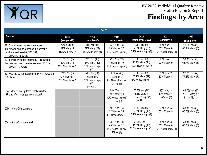

| <b>HEALTH</b>                                                                                                                            |                                                   |                                                                               |                                                                  |                                                                    |                                                   |                                                   |  |
|------------------------------------------------------------------------------------------------------------------------------------------|---------------------------------------------------|-------------------------------------------------------------------------------|------------------------------------------------------------------|--------------------------------------------------------------------|---------------------------------------------------|---------------------------------------------------|--|
| Question                                                                                                                                 | 2017<br>(sample=26)                               | 2018<br>(sample=47)                                                           | 2019<br>(sample=48)                                              | 2020<br>(sample=33 DDW)                                            | 2021<br>(sample=10)                               | 2022<br>$(Sample = 9)$                            |  |
| 48. Overall, were the team members<br>interviewed able to describe the person's<br>health-related needs? CPRQ54;<br>'17IQR#21b, '18IQR52 | 73% Yes (19)<br>19% Many (5)<br>8% Need Impv (2)  | 34% Yes (16)<br>57% Many (27)<br>9% Needs Impv (4)                            | 33% Yes (16)<br>56% Many (27)<br>10% Needs Impv (5)              | 9.1% Yes (3)<br>84.8% Many (28)<br>6.1% Needs Impv (2)             | 10% Yes (1)<br>80% Many (8)<br>10% Needs Impv (1) | 11.1% Yes (1)<br>88.9% Many (8)                   |  |
| 49. Is there evidence that the IDT discussed<br>the person's health related issues? CPRQ55;<br>'17IQR#21, '18IQR53                       | 12% Yes (3)<br>69% Many (8)<br>19% Need Impv (5)  | 28% Yes (13)<br>47% Many (22)<br>26% Needs Impv<br>(12)                       | 42% Yes (20)<br>40% Many (19)<br>19% Needs Impv (9)              | 9.1% Yes (3)<br>72.7% Many (24)<br>18.2% Needs Impv (6)            | 10% Yes (1)<br>90% Many (9)                       | 33.3% Yes (3)<br>66.7% Many (6)                   |  |
| 50. Was the eChat updated timely? '17IQR#18g,<br>'18IQR54                                                                                | 23% Yes (6)<br>42% Many (11)<br>35% Need Impv (9) | $\sqrt{51\%}$ Yes (24)<br>15% Many (7)<br>26% Needs Impv<br>(12)<br>9% No (4) | 19% Yes (9)<br>71% Many (34)<br>8% Needs Impv (4)<br>2% No (1)   | $9.1\%$ Yes (3)<br>87.9% Many (29)<br>3% Needs Impv (1)            | 20% Yes (2)<br>80% Many (8)                       | 22.2% Yes (2)<br>77.8% Many (7)                   |  |
| 50a. Is the eChat updated timely with the<br>ISP and after changes in condition?                                                         |                                                   |                                                                               | 65% Yes (31)<br>19% Many (9)<br>10% Needs Impv (5)<br>6% No (3)  | 78.8% Yes (26)<br>15.2% Many (5)<br>3% Needs Impv (1)<br>3% No (1) | 80% Yes (8)<br>10% Many (1)<br>10% No (1)         | 66.7% Yes (6)<br>22.2% Many (2)<br>11.1% No $(1)$ |  |
| 50b. Is the eChat complete?                                                                                                              |                                                   |                                                                               | 40% Yes (19)<br>52% Many (25)<br>8% Needs Impv (4)               | 36.4% Yes (12)<br>57.5% Many (19)<br>6.1% Needs Impv (2)           | 50% Yes (5)<br>50% Many (5)                       | 33.3% Yes (3)<br>66.7% Many (6)                   |  |
| 50c. Is the eChat accurate?                                                                                                              |                                                   |                                                                               | 38% Yes (18)<br>46% Many (22)<br>15% Needs Impv (7)<br>2% No (1) | 21.2% Yes (7)<br>45.5% Many (15)<br>33.3% Needs Impv (11)          | 30% Yes (3)<br>60% Many (6)<br>10% Needs Impv (1) | 33.3% Yes (3)<br>66.7% Many (6)                   |  |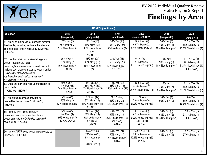

|                                                                                                                                                                                                                                                                        | <b>HEALTH (continued)</b>                                           |                                                                                  |                                                                              |                                                                                         |                                                   |                                                                         |  |  |
|------------------------------------------------------------------------------------------------------------------------------------------------------------------------------------------------------------------------------------------------------------------------|---------------------------------------------------------------------|----------------------------------------------------------------------------------|------------------------------------------------------------------------------|-----------------------------------------------------------------------------------------|---------------------------------------------------|-------------------------------------------------------------------------|--|--|
| Question                                                                                                                                                                                                                                                               | 2017<br>(sample=26)                                                 | 2018<br>(sample=47)                                                              | 2019<br>(sample=48)                                                          | 2020<br>(sample=33 DDW)                                                                 | 2021<br>(sample=10)                               | 2022<br>$(Sample = 9)$                                                  |  |  |
| 51. Are all of the individual's needed medical<br>treatments, including routine, scheduled and<br>chronic needs, timely received? 17IQR#19,<br>18IQR55 <sup>*</sup>                                                                                                    | 23% Yes (6)<br>46% Many (12)<br>31% Need Impv (8)                   | 32% Yes(15)<br>45% Many (21)<br>21% Needs Impv<br>(10)<br>2% No (1)              | 38% Yes (18)<br>56% Many (27)<br>6% Needs Impv (3)                           | 27.2% Yes (9)<br>66.7% Many (22)<br>6.1% Needs Impv (2)                                 | 50% Yes (5)<br>40% Many (4)<br>10% Needs Impv (1) | 33.3% Yes (3)<br>55.6% Many (5)<br>11.1% Needs Impv (1)                 |  |  |
| 52. Has the individual received all age and<br>gender appropriate health<br>screening/immunizations in accordance with<br>national best practice and/or as recommended<br>(Does the individual receive<br>routine/scheduled medical treatment?<br>17IQR#19a, '18IQR56) | 56% Yes (14)<br>28% Many (7)<br>16% Need Impv (4)<br>$(1$ CND)      | 43% Yes (20)<br>43% Many (20)<br>15% Needs Impv<br>(7)                           | 27% Yes (13)<br>52% Many (25)<br>17% Needs Impv (8)<br>4% No (2)             | 9.1% Yes (3)<br>72.7% Many (24)<br>18.2% Needs Impv (6)                                 | 0% Yes<br>90% Many (9)<br>10% Needs Impv (1)      | 11.1% Yes (1)<br>66.7% Many (6)<br>11.1% Needs Impv (1)<br>11.1% No (1) |  |  |
| 53. Does the individual receive medication as<br>prescribed?<br>17IQR#19e, '18IQR57                                                                                                                                                                                    | 68% Yes (17)<br>8% Many (8)<br>24% Need Impv (6)<br>$(1$ CND)       | 45% Yes (21)<br>36% Many (17)<br>17% Needs Impv (8)<br>2% No (1)                 | 42% Yes (20)<br>23% Many (11)<br>35% Needs Impv (17)                         | 12.1% Yes (4)<br>51.5% Many (17)<br>36.4% Needs Impv (12)                               | 0% Yes<br>70% Many (7)<br>30% Needs Impv (3)      | 11.1% Yes (1)<br>55.6% Many (5)<br>33.3% Needs Impv (3)                 |  |  |
| 54. Are nursing services provided as<br>needed by the individual? 17IQR#20,<br>'18IQR59                                                                                                                                                                                | 4% Yes (1)<br>35% Many (9)<br>62% Needs Impv (16)                   | 30% Yes (14)<br>30% Many (14)<br>38% Needs Impv (18)<br>2% No (1)                | 15% Yes (7)<br>46% Many (22)<br>40% Needs Impv (19)                          | 0% Yes<br>78.8% Many (26)<br>21.2% Needs Impv (7)                                       | 10% Yes (1)<br>90% Many (9)                       | 0% Yes<br>55.6% Many (5)<br>44.4% Needs Impv (4)                        |  |  |
| 55. Is the CARMP consistent with<br>recommendations in other healthcare<br>documents? (Is the CARMP is accurate?<br>'17IQR#21f, '18IQR60)                                                                                                                              | 64% Yes (14)<br>9% Many (2)<br>27% Needs Impv (6)<br>(2 N/A, 2 CND) | 34% Yes (14)<br>46% Many (19)<br>15% Needs Impv(6)<br>5% No (2)<br>(6 N/A)       | 40% Yes (17)<br>29% Many (12)<br>29% Needs Impv (12)<br>2% No (1)<br>(6 N/A) | 10.3% Yes (3)<br>62.1% Many (18)<br>24.2% Needs Impv (7)<br>$3.4\%$ No $(1)$<br>(4 N/A) | 30% Yes (3)<br>60% Many (6)<br>10% Needs Impv (1) | 55.6% Yes (5)<br>33.3% Many (3)<br>11.1% No (1)                         |  |  |
| 56. Is the CARMP consistently implemented as<br>intended? '18IQR61                                                                                                                                                                                                     |                                                                     | $\sqrt{65\%}$ Yes (26)<br>28% Many (11)<br>8% Needs Impv<br>(3)<br>(6 N/A 1 CND) | 50% Yes (21)<br>40% Many (17)<br>10% Needs Impv (4)<br>(6 N/A)               | 34.5% Yes (10)<br>55.2% Many (16)<br>10.3% Needs Impv (3)<br>(4 N/A)                    | 60% Yes (6)<br>40% Many (4)                       | 62.5% Yes (5)<br>37.5% Many (3)                                         |  |  |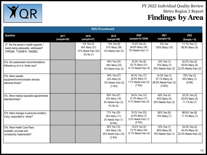

| <b>HEALTH</b> (continued)                                                                                  |                     |                                                                 |                                                                 |                                                                    |                                                                    |                                                         |  |
|------------------------------------------------------------------------------------------------------------|---------------------|-----------------------------------------------------------------|-----------------------------------------------------------------|--------------------------------------------------------------------|--------------------------------------------------------------------|---------------------------------------------------------|--|
| Question                                                                                                   | 2017<br>(sample=26) | 2018<br>(sample=47)                                             | 2019<br>(sample=48)                                             | 2020<br>(sample=33 DDW)                                            | 2021<br>(sample=10)                                                | 2022<br>$(Sample = 9)$                                  |  |
| 57. Are the person's health supports /<br>needs being adequately addressed?<br>CPRQ56; '17IQR#19, '18IQR62 |                     | 6% Yes (3)<br>45% Many (21)<br>47% Needs Impv (22)<br>2% No (1) | 13% Yes (6)<br>81% Many (39)<br>6% Needs Impv (3)               | 12.2% Yes (4)<br>84.8% Many (28)<br>3% Needs Impv (1)              | 0% Yes<br>100% Many (10)                                           | 11.1% Yes (1)<br>88.9% Many (8)                         |  |
| 57a. Are assessment recommendations<br>followed up on in a timely way?                                     |                     |                                                                 | 46% Yes (22)<br>48% Many (23)<br>6% Needs Impv (3)              | 24.2% Yes (8)<br>63.7% Many (21)<br>12.1% Needs Impv (4)           | 10% Yes (1)<br>70% Many (7)<br>20% Needs Impv (2)                  | 22.2% Yes (2)<br>55.6% Many (5)<br>22.2% Needs Impv (2) |  |
| 57b. Were needed<br>equipment/communication devices<br>delivered timely?                                   |                     |                                                                 | 66% Yes (27)<br>22% Many (9)<br>12% Needs Impv (5)<br>(7 N/A)   | 65.4% Yes (17)<br>26.9% Many (7)<br>7.7% Needs Impv (2)<br>(7 N/A) | 14.3% Yes (1)<br>57.1% Many (4)<br>28.6% Needs Impv (2)<br>(3 N/A) | 75% Yes (3)<br>25% Many (1)<br>(5 NA)                   |  |
| 57c. Were medical specialist appointments<br>attended timely?                                              |                     |                                                                 | 56% Yes (27)<br>33% Many (16)<br>6% Needs Impv (3)<br>4% No (2) | 39.4% Yes (13)<br>51.5% Many (17)<br>9.1% Needs Impv (3)           | 40% Yes (4)<br>40% Many (4)<br>20% Needs Impv (2)                  | 33.3% Yes (3)<br>55.6% Many (5)<br>11.1% No (1)         |  |
| 57d. Were changes in personal condition,<br>if any, responded to timely?                                   |                     |                                                                 | 71% Yes (30)<br>26% Many (11)<br>2% Needs Impv (1)<br>(6 N/A)   | 74.2% Yes (23)<br>22.6% Many (7)<br>3.2% Needs Impv (1)<br>(2 N/A) | 90% Yes (9)<br>10% Many (1)                                        | 88.9% Yes (8)<br>11.1% Many (1)                         |  |
| 57e. Were Health Care Plans<br>available, accurate and<br>consistently implemented?                        |                     |                                                                 | 26% Yes (12)<br>39% Many (18)<br>35% Needs Impv (16)<br>(2 N/A) | 15.2% Yes (5)<br>72.7% Many (24)<br>12.1% Needs Impv (4)           | 10% Yes (1)<br>80% Many (8)<br>10% Needs Impv (1)                  | 33.3% Yes (3)<br>44.4% Many (4)<br>22.3% Needs Impv (2) |  |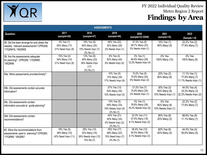

| <b>ASSESSMENTS</b>                                                                                          |                                                    |                                                                     |                                                                 |                                                             |                                                   |                                                         |  |
|-------------------------------------------------------------------------------------------------------------|----------------------------------------------------|---------------------------------------------------------------------|-----------------------------------------------------------------|-------------------------------------------------------------|---------------------------------------------------|---------------------------------------------------------|--|
| Question                                                                                                    | 2017<br>(sample=26)                                | 2018<br>(sample=47)                                                 | 2019<br>(sample=48)                                             | 2020<br>(sample=33 DDW)                                     | 2021<br>(sample=10)                               | 2022<br>$(Sample = 9)$                                  |  |
| 58. Did the team arrange for and obtain the<br>needed, relevant assessments? CPRQ58;<br>'17IQR#18, '18IQR65 | 4% Yes (1)<br>65% Many (17)<br>31% Need Impv (8)   | 19% Yes (9)<br>64% Many (30)<br>15% Needs Impv (7)<br>2% No (1)     | 46% Yes (22)<br>52% Many (25)<br>2% Needs Impv (1)              | 27.3% Yes (9)<br>69.7% Many (23)<br>3% Needs Impv (1)       | 10% Yes (1)<br>90% Many (9)                       | 22.2% Yes (2)<br>77.8% Many (7)                         |  |
| 59. Are the assessments adequate<br>for planning? CPRQ59; '17IQR#4f,<br>'18IQR66                            | 15% Yes (4)<br>54% Many (14)<br>31% Need Impv (8)  | 13% Yes (6)<br>49% Many (23)<br>36% Needs Impv<br>(17)<br>2% No (1) | $8%$ Yes (4)<br>83% Many (40)<br>8% Needs Impv (4)              | $3%$ Yes (1)<br>84.8% Many (28)<br>12.2% Needs Impv (4)     | 0% Yes<br>100% Many (10)                          | 0% Yes<br>100% Many (9)                                 |  |
| 59a. Were assessments provided timely?                                                                      |                                                    |                                                                     | 10% Yes (5)<br>73% Many (35)<br>17% Needs Impv (8)              | 15.2% Yes (5)<br>75.8% Many (25)<br>9% Needs Impv (3)       | 20% Yes (2)<br>80% Many (8)                       | 11.1% Yes (1)<br>77.8% Many (7)<br>11.1% Needs Impv (1) |  |
| 59b. Did assessments contain accurate<br>information?                                                       |                                                    |                                                                     | 27% Yes (13)<br>63% Many (30)<br>10% Needs Impv (5)             | 21.2% Yes (7)<br>75.8% Many (25)<br>3% Needs Impv (1)       | 30% Yes (3)<br>60% Many (6)<br>10% Needs Impv (1) | 44.5% Yes (4)<br>33.3% Many (3)<br>22.2% Needs Impv (2) |  |
| 59c. Did assessments contain<br>information accurate to guide planning?                                     |                                                    |                                                                     | 10% Yes (5)<br>69% Many (33)<br>19% Needs Impv (9)<br>2% No (1) | $3%$ Yes (1)<br>78.8% Many (26)<br>18.2% Needs Impv (6)     | 0% Yes<br>90% Many (9)<br>10% Needs Impv (1)      | 22.2% Yes (2)<br>77.8% Many (7)                         |  |
| 59d. Did assessments contain<br>recommendations?                                                            |                                                    |                                                                     | 44% Yes (21)<br>50% Many (24)<br>4% Needs Impv (2)<br>2% No (1) | $33.3\%$ Yes (11)<br>57.6% Many (19)<br>9.1% Needs Impv (3) | 80% Yes (8)<br>20% Many (2)                       | 88.9% Yes (8)<br>11.1% Many (1)                         |  |
| 60. Were the recommendations from<br>assessments used in planning? CPRQ60;<br>'17IQR#5, '18IQR67            | 19% Yes (5)<br>38% Many (10)<br>42% Need Impv (11) | 28% Yes (13)<br>32% Many (15)<br>26% Needs Impv (12)<br>15% No (7)  | 35% Yes (17)<br>48% Many (23)<br>15% Need Impv (7)<br>2% No (1) | 36.4% Yes (12)<br>54.5% Many (18)<br>9.1% Needs Impv (3)    | 60% Yes (6)<br>40% Many (4)                       | 44.4% Yes (4)<br>55.6% Many (5)                         |  |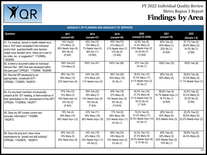

| ADEQUACY OF PLANNING AND ADEQUACY OF SERVICES                                                                                                                                                                                                             |                                                                            |                                                                              |                                                                              |                                                                                     |                                                                  |                                                           |
|-----------------------------------------------------------------------------------------------------------------------------------------------------------------------------------------------------------------------------------------------------------|----------------------------------------------------------------------------|------------------------------------------------------------------------------|------------------------------------------------------------------------------|-------------------------------------------------------------------------------------|------------------------------------------------------------------|-----------------------------------------------------------|
| <b>Question</b>                                                                                                                                                                                                                                           | 2017<br>(sample=26)                                                        | 2018<br>(sample=47)                                                          | 2019<br>(sample=48)                                                          | 2020<br>(sample=33 DDW)                                                             | 2021<br>(sample=10)                                              | 2022<br>$(Sample = 9)$                                    |
| 61. For medical, clinical or health related rec's,<br>has a DCF been completed if the individual<br>and/or their guardian/health care decision<br>maker have decided not to follow all or part of<br>an order, rec, or suggestion? '17IQR#5c,<br>'18IQR68 | 14% Yes(2)<br>21% Many (3)<br>36% Needs Impv (5)<br>29% No (4)<br>(6 N/A)  | 45% Yes (13)<br>10% Many (3)<br>7% Needs Impv (2)<br>38% No (11)<br>(18 N/A) | 45% Yes (15)<br>21% Many (7)<br>21% Needs Impv (7)<br>12% No (4)<br>(15 N/A) | 42.9% Yes (9)<br>14.3% Many (3)<br>9.5% Needs Impv (2)<br>33.3% No (7)<br>(12 N/A)  | 60% Yes (3)<br>20% Many (1)<br>20% No (1)<br>(5 N/A)             | 57.1% Yes (4)<br>28.6% Many (2)<br>14.3% No (1)<br>(2 NA) |
| 62. Is there a document called an Individual<br>Service Plan (ISP) that was developed within<br>the past year? CPRQ61; '17IQR#9, '18IQR69                                                                                                                 | 88% Yes (23)<br>12% Many (3)                                               | 100% Yes (47)                                                                | 100% Yes (48)                                                                | 97% Yes (32)<br>3% No (1)                                                           | 100% Yes (10)                                                    | 100% Yes (9)                                              |
| 63. Was the ISP developed by an<br>appropriately constituted IDT?<br>CPRQ62; '17IQR#3, '18IQR70                                                                                                                                                           | 38% Yes (10)<br>38% Many (10)<br>23% Need Impv (6)                         | 43% Yes (20)<br>47% Many (22)<br>11% Needs Impv (5)                          | 58% Yes (28)<br>40% Many (19)<br>2% No (1)                                   | 39.4% Yes (13)<br>51.5% Many (17)<br>6.1% Needs Impv (2)<br>3% No (1)               | 50% Yes (5)<br>50% Many (5)                                      | 55.6% Yes (5)<br>33.3% Many (3)<br>11.1% Needs Impv (1)   |
| 64. For any team members not physically<br>present at the IDT meeting, is there evidence of<br>their participation in the development of the ISP?<br>CPRQ63; '17IQR#3d, '18IQR71                                                                          | 57% Yes (12)<br>14% Many (3)<br>19% Need Impv (4)<br>10% No (2)<br>(5 N/A) | 55% Yes (22)<br>18% Many (7)<br>13% Needs Impv (5)<br>15% No (6)<br>(7 N/A)  | 55% Yes (18)<br>27% Many (9)<br>9% Needs Impv (3)<br>9% No (3)<br>(15 N//A)  | 45.4% Yes (10)<br>27.3% Many (6)<br>9.1% Needs Impv (2)<br>18.2% No (4)<br>(11 N/A) | 66.6% Yes (4)<br>16.7% Needs Impv (1)<br>16.7% No (1)<br>(4 N/A) | 33.4% Yes (2)<br>33.3% Many (2)<br>33.3% No (2)<br>(3 NA) |
| 65. Does my ISP contain current and<br>accurate information? '17IQR#6,<br>'18IQR72                                                                                                                                                                        | 15% Yes (4)<br>38% Many (10)<br>46% Need Impv (12)                         | 23% Yes (11)<br>38% Many (18)<br>38% Needs Impv (18)                         | 17% Yes (8)<br>58% Many (28)<br>23% Needs Impv (11)<br>2% No (1)             | 15.2% Yes (5)<br>51.5% Many (17)<br>30.3% Needs Impv (10)<br>3% No (1)              | 30% Yes (3)<br>40% Many (4)<br>30% Needs Impv (3)                | 22.2% Yes (2)<br>55.6% Many (5)<br>22.2% Needs Impv (2)   |
| 66. Does the long term vision show<br>expectations for growth and skill building?<br>CPRQ64; '17IQR#7b, '18IQR73                                                                                                                                          | 46% Yes (12)<br>19% Many (5)<br>35% Need Impv (9)                          | 40% Yes (19)<br>32% Many (15)<br>23% Needs Impv (11)<br>4% No (2)            | 69% Yes (33)<br>19% Many (9)<br>10% Needs Impv (5)<br>2% No (1)              | 42.4% Yes (14)<br>27.3% Many (9)<br>24.2% Needs Impv (8)<br>6.1% No (2)             | 40% Yes (4)<br>30% Many (3)<br>20% Needs Impv (2)<br>10% No (1)  | 55.6% Yes (5)<br>44.4% Many (4)                           |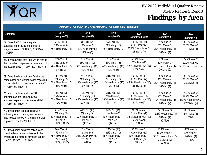

| ADEQUACY OF PLANNING AND ADEQUACY OF SERVICES (continued)                                                                                                   |                                                                                  |                                                                              |                                                                                |                                                                                      |                                                                                    |                                                                        |  |  |
|-------------------------------------------------------------------------------------------------------------------------------------------------------------|----------------------------------------------------------------------------------|------------------------------------------------------------------------------|--------------------------------------------------------------------------------|--------------------------------------------------------------------------------------|------------------------------------------------------------------------------------|------------------------------------------------------------------------|--|--|
| <b>Question</b>                                                                                                                                             | 2017<br>(sample=26)                                                              | 2018<br>(sample=47)                                                          | 2019<br>(sample=48)                                                            | 2020<br>(sample=33 DDW)                                                              | 2021<br>(sample=10)                                                                | 2022<br>$(Sample = 9)$                                                 |  |  |
| 67. Does the ISP give adequate<br>guidance to achieving the person's<br>long-term vision? CPRQ65; '17IQR#7c,<br>'18IQR74                                    | 31% Yes (8)<br>23% Many (6)<br>46% Need Impv (12)                                | 51% Yes (24)<br>19% Many (9)<br>19% Need Impv (9)<br>11% No (5)              | 69% Yes (33)<br>21% Many (10)<br>10% Needs Impv (5)                            | 42.4% Yes (14)<br>21.2% Many (7)<br>15.2% Needs Impv (5)<br>21.2% No (7)             | 20% Yes (2)<br>50% Many (5)<br>20% Needs Impv (2)<br>10% No (1)                    | 33.3% Yes (3)<br>55.6% Many (5)<br>11.1% No (1)                        |  |  |
| 68. Is measurable data kept which verifies<br>the consistent implementation of each of<br>the action steps? '17IQR#12a, '18IQR75                            | 12% Yes (3)<br>35% Many (9)<br>46% Need Impv (12)<br>8% No (2)                   | 17% Yes (8)<br>26% Many (12)<br>38% Needs Impv (18)<br>19% No (9)            | 17% Yes (8)<br>33% Many (16)<br>40% Needs Impv (19)<br>10% No (5)              | 21.2% Yes (7)<br>27% Many (9)<br>45.5% Needs Impv (15)<br>$6.1\%$ No (2)             | 10% Yes (1)<br>30% Many (3)<br>40% Needs Impv (4)<br>20% No (2)                    | 22.2% Yes (2)<br>22.2% Many (2)<br>55.6% Needs Impv (5)                |  |  |
| 69. Does the data kept identify what the<br>person does so a determination regarding<br>progress/lack of progress can be made?<br>'17IQR#12b, '18IQR76      | 4% Yes (1)<br>8% Many (2)<br>65% Need Impv (17)<br>23% No (6)                    | 11% Yes (5)<br>21% Many (10)<br>28% Needs Impv (13)<br>40% No (19)           | 23% Yes (11)<br>27% Many (13)<br>31% Needs Impv (15)<br>19% No (9)             | 9.1% Yes (3)<br>21.2% Many (7)<br>45.5% Needs Impv (15)<br>24.2% No (8)              | 30% Yes (3)<br>40% Many (4)<br>20% Needs Impv (2)<br>10% No $(1)$                  | 33.3% Yes (3)<br>33.4% Many (3)<br>33.3% No (3)                        |  |  |
| 70. Is each action step in the ISP<br>implemented at a frequency that<br>enables the person to learn new skills?<br>'17IQR#12c, '18IQR77                    | 8% Yes (2)<br>15% Many (4)<br>65% Need Impv (17)<br>12% No (3)                   | 6% Yes (3)<br>28% Many (13)<br>43% Needs Impv (20)<br>23% No (11)            | 25% Yes (12)<br>19% Many (9)<br>33% Needs Impv (16)<br>23% No (11)             | 6.1% Yes (2)<br>30.3% Many (10)<br>54.5% Needs Impv (18)<br>$9.1\%$ No $(3)$         | 20% Yes (2)<br>20% Many (2)<br>40% Needs Impv (4)<br>20% No (2)                    | 22.2% Yes (2)<br>22.2% Many (2)<br>33.4% Needs Impv(3)<br>22.2% No (2) |  |  |
| 71. If the person is not successful in<br>achieving actions steps, has the team<br>tried to determine why, and change their<br>approach if needed? '18IQR78 | 21% Yes (5)<br>8% Many (2)<br>63% Need Impv (15)<br>8% No (2)<br>(1 N/A, 1 CND)  | 41% Yes (15)<br>8% Many (3)<br>22% Needs Impv (8)<br>30% No (11)<br>(10 N/A) | 31% Yes (11)<br>19% Many (7)<br>19% Needs Impv (7)<br>31% No (11)<br>(12 N/A)  | 12.9% Yes (4)<br>22.5% Many (7)<br>32.3% Needs Impv (10)<br>32.2% No (10)<br>(2 N/A) | 37.5% Yes (3)<br>12.5% Needs Impv (1)<br>50% No (4)<br>(2 N/A)                     | 14.3% Yes (1)<br>85.7% No (6)<br>(2 NA)                                |  |  |
| 72. If the person achieves action steps,<br>does the team move to the next in the<br>progression of steps or develops a new<br>one? '17IQR#12c, '18IQR79    | 26% Yes (6)<br>4% Many (1)<br>48% Need Impv (11)<br>22% No (5)<br>(2 N/A, 1 CND) | 12% Yes (5)<br>12% Many (5)<br>24% Needs Impv (10)<br>51% No (21)<br>(6 N/A) | 26% Yes (10)<br>26% Many (10)<br>18% Needs Impv (7)<br>29% No (11)<br>(10 N/A) | 23.8% Yes (5)<br>42.9% Many (9)<br>19% Needs Impv (4)<br>14.3% No (3)<br>(12 N/A)    | 16.7% Yes (1)<br>16.7% Many (1)<br>33.3% Needs Impv (2)<br>33.3% No (2)<br>(4 N/A) | 60% Yes (3)<br>20% Many (1)<br>20% No (1)<br>(4 NA)                    |  |  |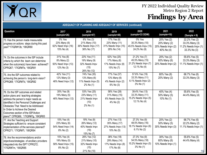

| ADEQUACY OF PLANNING AND ADEQUACY OF SERVICES (continued)                                                                                                                                                                                                                                                              |                                                                |                                                                         |                                                                    |                                                                            |                                                                 |                                                                         |  |  |
|------------------------------------------------------------------------------------------------------------------------------------------------------------------------------------------------------------------------------------------------------------------------------------------------------------------------|----------------------------------------------------------------|-------------------------------------------------------------------------|--------------------------------------------------------------------|----------------------------------------------------------------------------|-----------------------------------------------------------------|-------------------------------------------------------------------------|--|--|
| <b>Question</b>                                                                                                                                                                                                                                                                                                        | 2017<br>(sample=26)                                            | 2018<br>(sample=47)                                                     | 2019<br>(sample=48)                                                | 2020<br>(sample=33 DDW)                                                    | 2021<br>(sample=10)                                             | 2022<br>$(Sample = 9)$                                                  |  |  |
| 73. Has the person made measurable<br>progress on actions steps during this past<br>year?'17IQR#13b, '18IQR80                                                                                                                                                                                                          | 0% Yes<br>23% Many (6)<br>62% Need Impv (16)<br>15% No (4)     | 6% Yes (3)<br>21% Many (10)<br>36% Needs Impv (17)<br>36% No (17)       | 17% Yes (8)<br>23% Many (11)<br>31% Needs Impv (15)<br>29% No (14) | 0% Yes<br>30.3% Many (10)<br>45.5% Needs Impv (15)<br>24.2% No (8)         | 20% Yes (2)<br>20% Many (2)<br>20% Needs Impv (2)<br>40% No (4) | 22.2% Yes (2)<br>33.3% Many (3)<br>11.2% Needs Impv (1)<br>33.3% No (3) |  |  |
| 74. Do the outcomes in the ISP include<br>criteria by which the team can determine<br>when the outcome(s) have been achieved?<br>CPRQ67; '17IQR#7e, '18IQR81                                                                                                                                                           | 31% Yes (8)<br>8% Many (2)<br>50% Need Impv (13)<br>12% No (3) | $23%$ Yes (11)<br>19% Many (9)<br>32% Needs Impv<br>(15)<br>26% No (12) | 52% Yes (25)<br>17% Many (8)<br>17% Needs Impv (8)<br>15% No (7)   | $21.2%$ Yes (7)<br>45.5% Many (15)<br>21.2% Needs Impv (7)<br>12.1% No (4) | 20% Yes (2)<br>60% Many (6)<br>20% Needs Impv (2)               | 55.6% Yes (5)<br>33.3% Many (3)<br>11.1% Needs Impv (1)                 |  |  |
| 75. Are the ISP outcomes related to<br>achieving the person's long-term vision?<br>CPRQ68; '17IQR#7d, '18IQR82                                                                                                                                                                                                         | 42% Yes (11)<br>12% Many (3)<br>46% Need Impv (12)             | 74% Yes (35)<br>13% Many (6)<br>11% Needs Impv (5)<br>2% No (1)         | 77% Yes (37)<br>13% Many (6)<br>4% Needs Impv (2)<br>6% No (3)     | 57.6% Yes (19)<br>33.3% Many (11)<br>6.1% Needs Impv (2)<br>$3\%$ No $(1)$ | 80% Yes (8)<br>20% Many (2)                                     | 66.7% Yes (6)<br>33.3% Many (3)                                         |  |  |
| 76. Do the ISP outcomes and related<br>action plans and teaching strategies<br>address the person's major needs as<br>identified in the Personal Challenges and<br>Obstacles That Need to be Addressed<br>In Order to Achieve the Desired<br>Outcomes section of the ISP/Action<br>plans?" CPRQ69; '17IQR#7g, '18IQR83 | 35% Yes (9)<br>19% Many (5)<br>46% Need Impv (12)              | 53% Yes (25)<br>23% Many (11)<br>21% Needs Impv<br>(10)<br>2% No (1)    | 58% Yes (28)<br>31% Many (15)<br>6% Needs Impv (3)<br>4% No (2)    | 39.4% Yes (13)<br>33.3% Many (11)<br>15.2% Needs Impv (5)<br>12.1% No (4)  | 40% Yes (4)<br>50% Many (5)<br>10% No (1)                       | 55.6% Yes (5)<br>44.4% Many (4)                                         |  |  |
| 77. Are the Teaching and Support<br>Strategies sufficient to ensure consistent<br>implementation of the services planned?<br>CPRQ71; '17IQR#7i, '18IQR84                                                                                                                                                               | 15% Yes (4)<br>23% Many (6)<br>54% Need Impv (14)<br>8% No (2) | 19% Yes (9)<br>26% Many (12)<br>40% Needs Impv<br>(19)<br>15% No (7)    | 27% Yes (13)<br>35% Many (17)<br>27% Needs Impv (13)<br>10% No (5) | 27.3% Yes (9)<br>48.5% Many (16)<br>18.1% Needs Impv (6)<br>6.1% No (2)    | 20% Yes (2)<br>50% Many (5)<br>30% Needs Impv (3)               | 66.7% Yes (6)<br>22.2% Many (2)<br>11.1% Needs Impv (1)                 |  |  |
| 78. Are the recommendations and/or<br>objectives/strategies of ancillary providers<br>integrated into the ISP? CPRQ72;<br>'17IQR#7m, '18IQR85                                                                                                                                                                          | 15% Yes (4)<br>19% Many (5)<br>58% Need Impv (15)<br>8% No (2) | 26% Yes (12)<br>21% Many (10)<br>32% Needs Impv<br>(15)<br>21% No (10)  | 38% Yes (18)<br>29% Many (14)<br>17% Needs Impv (8)<br>17% No (8)  | 27.3% Yes (9)<br>54.5% Many (18)<br>15.2% Needs Impv (5)<br>3% No (1)      | 30% Yes (3)<br>60% Many (6)<br>10% Needs Impv (1)               | 55.6% Yes (5)<br>44.4% Many (4)<br>16                                   |  |  |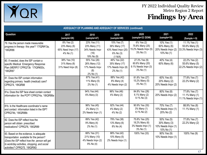

| <b>ADEQUACY OF PLANNING AND ADEQUACY OF SERVICES (continued)</b>                                                                                                                                                     |                                                               |                                                                       |                                                                            |                                                                      |                                                                 |                                                         |  |
|----------------------------------------------------------------------------------------------------------------------------------------------------------------------------------------------------------------------|---------------------------------------------------------------|-----------------------------------------------------------------------|----------------------------------------------------------------------------|----------------------------------------------------------------------|-----------------------------------------------------------------|---------------------------------------------------------|--|
| Question                                                                                                                                                                                                             | 2017<br>(sample=26)                                           | 2018<br>(sample=47)                                                   | 2019<br>(sample=48)                                                        | 2020<br>(sample=33 DDW)                                              | 2021<br>(sample=10)                                             | 2022<br>$(Sample = 9)$                                  |  |
| 79. Has the person made measurable<br>progress in therapy this year? '17IQR#13a,<br>'18IQR86                                                                                                                         | 8% Yes (2)<br>23% Many (6)<br>65% Need Impv (17)<br>4% No (1) | 23% Yes (11)<br>23% Many (11)<br>34% Needs Impv<br>(16)<br>19% No (9) | 15% Yes (7)<br>36% Many (17)<br>43% Need Impv (20)<br>6% No (3)<br>(1 N/A) | 6% Yes (2)<br>75.8% Many (25)<br>15.2% Needs Impv (5)<br>3% No (1)   | 10% Yes (1)<br>60% Many (6)<br>20% Needs Impv (2)<br>10% No (1) | 11.1% Yes (1)<br>55.6% Many (5)<br>33.3% Needs Impv (3) |  |
| 80. If needed, does the ISP contain a<br>specific Medical Emergency Response<br>Plan (MERP)? CPRQ73b '17IQR#20c,<br>'18IQR87                                                                                         | 38% Yes (10)<br>31% Many (8)<br>31% Need Impv (8)             | 55% Yes (26)<br>26% Many (12)<br>17% Needs Impv<br>(8)<br>2% No (1)   | 46% Yes (22)<br>35% Many (17)<br>17% Needs Impv (8)<br>2% No (1)           | 27.3% Yes (9)<br>60.6% Many (20)<br>9.1% Needs Impv (3)<br>3% No (1) | 40% Yes (4)<br>60% Many (6)                                     | 22.2% Yes (2)<br>55.6% Many (5)<br>22.2% Needs Impv (2) |  |
| 81. Does the ISP contain information<br>regarding primary health (medical) care?<br>CPRQ74, '18IQR88                                                                                                                 |                                                               | 87% Yes (41)<br>11% Many (5)<br>2% No (1)                             | 88% Yes (42)<br>8% Many (4)<br>4% Needs Impv (2)                           | 81.8% Yes (27)<br>15.2% Many (5)<br>3% No (1)                        | 60% Yes (6)<br>20% Many (2)<br>20% Needs Impv (2)               | 77.8% Yes (7)<br>22.2% Many (2)                         |  |
| 81a. Does the ISP face sheet contain contact<br>information for the PCP? CPRQ74a, '18IQR88a                                                                                                                          |                                                               | 94% Yes (44)<br>6% Many (3)                                           | 96% Yes (46)<br>4% Many (2)                                                | 84.8% Yes (28)<br>6.1% Many (2)<br>9.1% No (3)                       | 80% Yes (8)<br>20% Needs Impv (2)                               | 77.8% Yes (7)<br>11.1% Many (1)<br>11.1% Needs Impv (1) |  |
| 81b. Is the Healthcare coordinator's name<br>and contact information listed in the ISP?<br>CPRQ74b, '18IQR88b                                                                                                        |                                                               | 96% Yes (45)<br>2% Many (1)<br>2% Needs Impv (1)                      | 92% Yes (44)<br>4% Many (2)<br>4% No (2)                                   | 90.9% Yes (30)<br>3% Many (1)<br>6.1% No (2)                         | 70% Yes (7)<br>10% Needs Impv (1)<br>20% No (2)                 | 88.9% Yes (8)<br>11.1% Many (1)                         |  |
| 82. Does the ISP reflect how the<br>person will obtain prescribed<br>medications? CPRQ76, '18IQR89                                                                                                                   |                                                               | 89% Yes (42)<br>9% Many (4)<br>2% No (1)                              | 79% Yes (38)<br>13% Many (6)<br>8% No (4)                                  | 75.8% Yes (25)<br>18.2% Many (6)<br>3% Needs Impv (1)<br>3% No (1)   | 50% Yes (5)<br>30% Many (3)<br>10% Needs Impv (1)<br>10% No (1) | 77.8% Yes (7)<br>22.2% Many (2)                         |  |
| 83. Based on the evidence, is adequate<br>transportation available for the person?<br>(Does the ISP reflect how the person will get<br>to work/day activities, shopping, and social<br>activities? CPRQ75, '18IQR90) |                                                               | 66% Yes (31)<br>21% Many (10)<br>4% Needs Impv (2)<br>9% No (4)       | 88% Yes (42)<br>10% Many (5)<br>2% Needs Impv (1)                          | 100% Yes (33)                                                        | 90% Yes (9)<br>10% Needs Impv (1)                               | 100% Yes (9)                                            |  |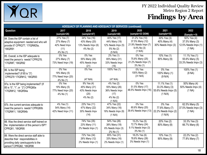

| <b>ADEQUACY OF PLANNING AND ADEQUACY OF SERVICES (continued)</b>                                                                                    |                                                                   |                                                                    |                                                                               |                                                                                        |                                                                    |                                                                 |  |  |
|-----------------------------------------------------------------------------------------------------------------------------------------------------|-------------------------------------------------------------------|--------------------------------------------------------------------|-------------------------------------------------------------------------------|----------------------------------------------------------------------------------------|--------------------------------------------------------------------|-----------------------------------------------------------------|--|--|
| Question                                                                                                                                            | 2017<br>(sample=26)                                               | 2018<br>(sample=47)                                                | 2019<br>(sample=48)                                                           | 2020<br>(sample=33 DDW)                                                                | 2021<br>(sample=10)                                                | 2022<br>$(Sample = 9)$                                          |  |  |
| 84. Does the ISP contain a list of<br>adaptive equipment needed and who will<br>provide it? CPRQ77; '17IQR#25a,<br>'18IQR91                         | 27% Yes (7)<br>27% Many (7)<br>42% Need Impv<br>(11)<br>4% No (1) | 34% Yes (16)<br>43% Many (20)<br>13% Needs Impv (6)<br>4% No (2)   | 40% Yes (17)<br>44% Many (19)<br>12% Needs Impv (5)<br>5% No (2)<br>(5 N/A)   | 31.2% Yes (10)<br>37.5% Many (12)<br>21.9% Needs Impv (7)<br>$9.4\%$ No (3)<br>(1 N/A) | 30% Yes (3)<br>40% Many (4)<br>30% Needs Impv (3)                  | 50% Yes (4)<br>37.5% Many (3)<br>12.5% Needs Impv (1)<br>(1 NA) |  |  |
| 85. Overall, is the ISP adequate to<br>meet the person's needs? CPRQ78;<br>'17IQR#7, '18IQR92                                                       | 0% Yes<br>27% Many (7)<br>73% Need Impv (19)                      | 0% Yes<br>55% Many (26)<br>45% Needs Impv<br>(21)                  | 2% Yes (1)<br>65% Many (31)<br>33% Needs Impv<br>(16)                         | 0% Yes<br>75.8% Many (25)<br>21.2% Needs Impv (7)<br>3% No (1)                         | 10% Yes (1)<br>90% Many (9)                                        | 11.1% Yes (1)<br>55.6% Many (5)<br>33.3% Needs Impv (3)         |  |  |
| 86. Is the ISP being<br>implemented? (If 85 is "3")<br>CPRQ79 '17IQR#12, '18IQR93                                                                   | 0% Yes<br>19% Many (5)<br>77% Need Impv (20)<br>4% No (1)         | 0% Yes<br>(47 N/A)                                                 | 100% Yes (1)<br>(47 N/A)                                                      | 0% Yes<br>100% Many (2)<br>(31 N/A)                                                    | 0% Yes<br>100% Many (1)<br>(9 N/A)                                 | 100% Yes (1)<br>(8 NA)                                          |  |  |
| 87a. Is the ISP being implemented? (If<br>85 is "0", "1", or "2") CPRQ80a<br>'17IQR#12, '18IQR94a                                                   | 0% Yes<br>19% Many (5)<br>77% Need Impv (20)<br>4% No (1)         | 9% Yes (4)<br>45% Many (21)<br>43% Needs Impv<br>(20)<br>4% No (2) | 4% Yes (2)<br>55% Many (26)<br>36% Needs Impv<br>(17)<br>4% No (2)<br>(1 N/A) | 0% Yes<br>51.5% Many (17)<br>48.5% Needs Impv (16)                                     | 11.1% Yes (1)<br>33.3% Many (3)<br>55.6% Needs Impv (5)<br>(1 N/A) | 50% Many (4)<br>50% Needs Impv (4)<br>(1 NA)                    |  |  |
| 87b. Are current services adequate to<br>meet the person's needs? CPRQ80b<br>'17IQR#11, '18IQR94b                                                   | 4% Yes (1)<br>54% Many (14)<br>42% Need Impv (11)                 | 23% Yes (11)<br>47% Many (22)<br>30% Needs Impv<br>(14)            | 47% Yes (22)<br>34% Many (16)<br>19% Needs Impv (9)<br>(1 N/A)                | 0% Yes<br>60.6% Many (20)<br>39.4% Needs Impv (13)                                     | 0% Yes<br>77.8% Many (7)<br>22.2% Needs Impv (2)<br>(1 N/A)        | 62.5% Many (5)<br>37.5% Needs Impv (3)<br>(1 NA)                |  |  |
| 88. Was the direct service staff trained on<br>the implementation of this person's ISP?<br>CPRQ81, '18IQR95                                         |                                                                   | 74% Yes (35)<br>23% Many (11)<br>2% Needs Impv (1)                 | 54% Yes (26)<br>38% Many (18)<br>6% Needs Impv (3)<br>2% No (1)               | $15.2\%$ Yes (5)<br>72.7% Many (24)<br>9.1% Needs Impv (3)<br>3% No (1)                | 20% Yes (2)<br>80% Many (8)                                        | 33.3% Yes (3)<br>66.7% Many (6)                                 |  |  |
| 89. Were the direct service staff able to<br>describe their responsibilities in<br>providing daily care/supports to the<br>person? CPRQ82, '18IQR96 |                                                                   | 72% Yes (34)<br>26% Many (12)<br>2% Needs Impv (1)                 | 65% Yes (31)<br>33% Many (16)<br>2% Needs Impv (1)                            | 18.2% Yes (6)<br>78.8% Many (26)<br>3% Needs Impv (1)                                  | 10% Yes (1)<br>90% Many (9)                                        | 22.2% Yes (2)<br>77.8% Many (7)                                 |  |  |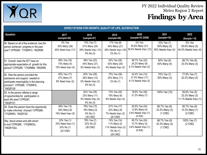

| <b>EXPECTATIONS FOR GROWTH, QUALITY OF LIFE, SATISFACTION</b>                                                                                              |                                                              |                                                                  |                                                                             |                                                                    |                                                   |                                                         |  |
|------------------------------------------------------------------------------------------------------------------------------------------------------------|--------------------------------------------------------------|------------------------------------------------------------------|-----------------------------------------------------------------------------|--------------------------------------------------------------------|---------------------------------------------------|---------------------------------------------------------|--|
| <b>Question</b>                                                                                                                                            | 2017<br>(sample=26)                                          | 2018<br>(sample=47)                                              | 2019<br>(sample=48)                                                         | 2020<br>(sample=33 DDW)                                            | 2021<br>(sample=10)                               | 2022<br>$(Sample = 9)$                                  |  |
| 90. Based on all of the evidence, has the<br>person achieved progress in the past<br>year? CPRQ84; '17IQR#13, '18IQR98                                     | $\overline{0}$ % Yes<br>35% Many (39)<br>65% Need Impv (17)  | 15% Yes (7)<br>51% Many (24)<br>28% Needs Impv (13)<br>6% No (3) | 17% Yes (8)<br>44% Many (21)<br>38% Needs Impv (18)<br>2% No (1)            | 0% Yes<br>63.6% Many (21)<br>36.4% Needs Impv (12)                 | 10% Yes (1)<br>50% Many (5)<br>40% Needs Impv (4) | 0% Yes<br>55.6% Many (5)<br>44.4% Needs Impv (4)        |  |
| 91. Overall, does the IDT have an<br>appropriate expectation of growth for this<br>person? CPRQ85; '17IQR#8d, '18IQR99                                     | 69% Yes (18)<br>15% Many (4)<br>15% Need Impv (4)            | 49% Yes (23)<br>45% Many (21)<br>6% Needs Impv (3)               | 54% Yes (26)<br>42% Many (20)<br>4% Needs Impv (2)                          | 69.7% Yes (23)<br>24.2% Many (8)<br>6.1% Needs Impv (2)            | 60% Yes (6)<br>40% Many (4)                       | 66.7% Yes (6)<br>33.3% Many (3)                         |  |
| 92. Was the person provided the<br>assistance and support needed to<br>participate meaningfully in the planning<br>process? CPRQ86; '17IQR#1b,<br>18IQR100 | 65% Yes (17)<br>27% Many (7)<br>8% Need Impv (2)             | 62% Yes (29)<br>26% Many (12)<br>6% Needs Impv (3)<br>6% No (3)  | 75% Yes (36)<br>23% Many (11)<br>2% No (1)                                  | 42.4% Yes (14)<br>51.5% Many (17)<br>6.1% Needs Impv (2)           | 70% Yes (7)<br>30% Many (3)                       | 77.8% Yes (7)<br>22.2% Many (2)                         |  |
| 93. Is the person offered a range<br>of opportunities for participation in<br>each life area? CPRQ87,<br>18IQR101                                          |                                                              | 62% Yes (29)<br>23% Many (11)<br>9% Needs Impv (4)<br>6% No (3)  | 73% Yes (35)<br>19% Many (9)<br>8% Needs Impv (4)                           | 78.8% Yes (26)<br>21.2% Many (7)                                   | 100% Yes (10)                                     | 55.6% Yes (5)<br>33.3% Many (3)<br>11.1% Needs Impv (1) |  |
| 94. Does the person have the opportunity<br>to make informed choices? CPRQ88;<br>'17IQR#30, '18IQR102                                                      | 46% Yes (12)<br>35% Many (9)<br>19% Need Impv (5)            | 76% Yes (13)<br>18% Many (3)<br>6% No (1)<br>(30 CND)            | 61% Yes (17)<br>32% Many (9)<br>7% Needs Impv (2)<br>$(20$ CND)             | 82.8% Yes (24)<br>13.8% Many (4)<br>3.4% Needs Impv (1)<br>(4 N/A) | 66.7% Yes (6)<br>33.3% Many (3)<br>$(1$ CND)      | 85.7% Yes (6)<br>14.3% Many (1)<br>$(2$ CND)            |  |
| 94a. About where and with whom<br>to live? CPRQ89; '17IQR#23c,<br>'18IQR102a                                                                               | 33% Yes (1)<br>33% Need Impv (1)<br>33% No (1)<br>$(23$ CND) | 78% Yes (7)<br>22% No (2)<br>(38 CND)                            | 74% Yes (14)<br>11% Many (2)<br>11% Needs Impv (2)<br>5% No (1)<br>(29 CND) | 85.7% Yes (24)<br>10.7% Many (3)<br>3.6% Needs Impv (1)<br>(5 N/A) | 66.7% Yes (6)<br>33.3% Many (3)<br>$(1$ CND)      | 100% Yes (7)<br>$(2$ CND)                               |  |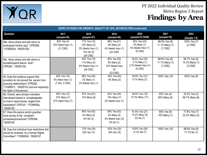

| <b>EXPECTATIONS FOR GROWTH, QUALITY OF LIFE, SATISFACTION (continued)</b>                                                                                                                    |                                                    |                                                                             |                                                                  |                                                                        |                                              |                                              |  |  |
|----------------------------------------------------------------------------------------------------------------------------------------------------------------------------------------------|----------------------------------------------------|-----------------------------------------------------------------------------|------------------------------------------------------------------|------------------------------------------------------------------------|----------------------------------------------|----------------------------------------------|--|--|
| Question                                                                                                                                                                                     | 2017<br>(sample=26)                                | 2018<br>(sample=47)                                                         | 2019<br>(sample=48)                                              | 2020<br>(sample=33 DDW)                                                | 2021<br>(sample=10)                          | 2022<br>$(Sample = 9)$                       |  |  |
| 94b. About where and with whom to<br>work/spend his/her day? CPRQ90;<br>'17IQR#23d, '18IQR102b                                                                                               | 80% Yes (4)<br>20% Need Impv (1)<br>(21 CND)       | 71% Yes (15)<br>14% Many (3)<br>5% Needs Impv (1)<br>10% No (2)<br>(26 CND) | 88% Yes (21)<br>8% Many (2)<br>4% Needs Impv (1)<br>(24 CND)     | 92% Yes (23)<br>4% Many (1)<br>4% Needs Impv (1)<br>$(8$ CND)          | 88.9% Yes (8)<br>11.1% Many (1)<br>$(1$ CND) | 100% Yes (7)<br>$(2$ CND)                    |  |  |
| 94c. About where and with whom to<br>socialize/spend leisure time?<br>CPRQ91, '18IQR102c                                                                                                     |                                                    | 83% Yes (15)<br>11% Many (2)<br>6% Needs Impv (1)<br>(29 CND)               | 80% Yes (20)<br>8% Many (2)<br>12% Needs Impv<br>(3)<br>(23 CND) | 92.6% Yes (25)<br>3.7% Many (1)<br>3.7% Needs Impv (1)<br>$(6$ CND $)$ | 88.9% Yes (8)<br>11.1% Many (1)<br>$(1$ CND) | 85.7% Yes (6)<br>14.3% Many (1)<br>$(2$ CND) |  |  |
| 95. Does the evidence support that<br>providers do not prevent the person from<br>pursuing relationships? CPRQ92;<br>'17IQR#31f, '18IQR103 (and are respecting<br>the rights of this person) | 94% Yes (16)<br>6% Need Impv (1)<br>(7 N/A, 2 CND) | 96% Yes (45)<br>2% Many (1)<br>2% Needs Impv (1)                            | 94% Yes (45)<br>6% Many (3)                                      | 93.9% Yes (31)<br>6.1% Many (2)                                        | 100% Yes (10)                                | 100% Yes (9)                                 |  |  |
| 96. Overall, were all team members<br>interviewed trained or knowledgeable<br>on how to report abuse, neglect and<br>exploitation? CPR 93*; '17IQR#35a,<br>'18IQR105                         | 46% Yes (12)<br>27% Many (7)<br>27% Need Impv (7)  | 87% Yes (41)<br>13% Many (6)                                                | 83% Yes (40)<br>15% Many (7)<br>2% Needs Impv (1)                | 48.5% Yes (16)<br>51.5% Many (17)                                      | 40% Yes (4)<br>60% Many (6)                  | 33.3% Yes (3)<br>66.7% Many (6)              |  |  |
| 97. Does this person and/or guardian<br>have access to the complaint<br>processes/procedures? CPRQ94,<br>'18IQR106                                                                           |                                                    | 89% Yes (42)<br>4% Many (2)<br>6% No (3)                                    | 90% Yes (43)<br>4% Many (2)<br>4% Needs Impv (2)<br>2% No (1)    | 81.8% Yes (27)<br>15.2% Many (5)<br>3% No (1)                          | 90% Yes (9)<br>10% Many (1)                  | 77.8% Yes (7)<br>22.2% Many (2)              |  |  |
| 98. Does the individual have restrictions that<br>should be reviewed by a Human Rights<br>Committee? '17IQR#34h, '18IQR107                                                                   |                                                    | 72% Yes (34)<br>28% No (13)                                                 | 63% Yes (30)<br>38% No (18)                                      | 78.8% Yes (26)<br>21.2% No (7)                                         | 100% Yes (10)                                | 88.9% Yes (8)<br>11.1% No (1)                |  |  |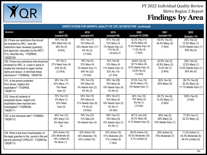

| <b>EXPECTATIONS FOR GROWTH, QUALITY OF LIFE, SATISFACTION (continued)</b>                                                                                                                                         |                                                                       |                                                                              |                                                                                |                                                                                     |                                                            |                                                                     |  |  |
|-------------------------------------------------------------------------------------------------------------------------------------------------------------------------------------------------------------------|-----------------------------------------------------------------------|------------------------------------------------------------------------------|--------------------------------------------------------------------------------|-------------------------------------------------------------------------------------|------------------------------------------------------------|---------------------------------------------------------------------|--|--|
| Question                                                                                                                                                                                                          | 2017<br>(sample=26)                                                   | 2018<br>(sample=47)                                                          | 2019<br>(sample=48)                                                            | 2020<br>(sample=33 DDW)                                                             | 2021<br>(sample=10)                                        | 2022<br>$(Sample = 9)$                                              |  |  |
| 99. If there are restrictions that should<br>be reviewed by HRC, have the<br>restrictions been reviewed (quarterly)<br>and approved (annually) by the HRC?<br>If no, describe why. '17IQR#34i,<br>'18IQR108       | 44% Yes (8)<br>28% Need Impv (5)<br>28% No (5)<br>(8 N/A)             | 50% Yes (17)<br>12% Many (4)<br>32% Needs Impv (11)<br>6% No (2)<br>(13 N/A) | 67% Yes (20)<br>10% Many (3)<br>7% Needs Impv (2)<br>17% No (5)<br>(18 N/A) 21 | 42.3% Yes (11)<br>30.8% Many (8)<br>15.4% Needs Impv (4)<br>11.5% No (3)<br>(7 N/A) | 55.6% Yes (5)<br>44.4% Many (4)<br>(1 N/A)                 | 25% Yes (2)<br>12.5% Many (1)<br>12.5% Needs Impv (1)<br>50% No (4) |  |  |
| 100. If there are restrictions that should be<br>reviewed by HRC, is a plan in place to<br>enable the individual to regain his/her<br>rights and reduce or eliminate these<br>restrictions? '17IQR#34j, '18IQR109 | 0% Yes ()<br>57% Need Impv (8)<br>43% No (6)<br>(12 N/A)              | 16% Yes (5)<br>13% Many (4)<br>3% Needs Impv (1)<br>69% No (22)<br>(15 N/A)  | 22% Yes (6)<br>15% Many (4)<br>11% Needs Impv (3)<br>52% No (14)<br>(21 N/A)   | 28.6% Yes (6)<br>38.1% Many (8)<br>9.5% Needs Impv (2)<br>23.8% No (5)<br>(12 N/A)  | 42.9% Yes (3)<br>42.9% Many (3)<br>14.2% No (1)<br>(3 N/A) | 25% Yes (2)<br>12.5% Many (1)<br>12.5% Needs Impv (1)<br>50% No (4) |  |  |
| 101. Is the person protected<br>from abuse, neglect and<br>exploitation? '17IQR#35,<br>'18IQR110                                                                                                                  | 38% Yes (10)<br>42% Many (11)<br>19% Need<br>Impv(5)                  | 70% Yes (33)<br>19% Many (9)<br>4% Needs Impv (2)<br>6% No (3)               | 58% Yes (28)<br>19% Many (9)<br>19% Needs Impv (9)<br>4% No (2)                | 57.6% Yes (19)<br>39.4% Many (13)<br>3% Needs Impv (1)                              | 60% Yes (6)<br>40% Many (4)                                | 66.7% Yes (6)<br>22.2% Many (2)<br>11.1% Needs Impv (1)             |  |  |
| 102. Have all incidents of<br>suspected abuse, neglect and<br>exploitation been reported and<br>investigated? '17IQR#35b,<br>'18IQR111                                                                            | 70% Yes (14)<br>5% Many (1)<br>25% Need<br>Impv(5)                    | 54% Yes (15)<br>18% Many (5)<br>21% Needs Impv (6)<br>7% No (2)<br>(19 N/A)  | 66% Yes (21)<br>16% Many (5)<br>16% Needs Impv (5)<br>3% No (1)<br>(16 N/A)    | 80% Yes (16)<br>15% Many (3)<br>5% No (1)<br>(13 N/A)                               | 85.7% Yes (6)<br>14.3% Many (1)<br>(3 N/A)                 | 100% Yes (5)<br>(4 NA)                                              |  |  |
| 103. Is the individual safe? '17IQR#24,<br>'18IQR112                                                                                                                                                              | 46% Yes (12)<br>46% Many (12)<br>8% Need Impv<br>(2)                  | 79% Yes (37)<br>13% Many (6)<br>9% Needs Impv (4)                            | 65% Yes (31)<br>19% Many (9)<br>15% Needs Impv (7)<br>2% No (1)                | 69.7% Yes (23)<br>24.2% Many (8)<br>6.1% Needs Impv (2)                             | 50% Yes (5)<br>40% Many (4)<br>10% Needs Impv (1)          | 77.8% Yes (7)<br>22.2% Many (2)                                     |  |  |
| 104. What is the level of participation of<br>the legal guardian in this person's life and<br>service planning? CPRQ 97; '17IQR#15a,<br>18IQR113                                                                  | 54% Active (14)<br>23% Moderate (6)<br>19% Limited (5)<br>4% None (1) | 32% Active (15)<br>34% Moderate (16)<br>34% Limited (16)                     | 32% Active (15)<br>51% Moderate (24)<br>17% Limited (8)<br>(1 N/A)             | 36.4% Active (12)<br>54.5% Moderate (18)<br>9.1% Limited (3)                        | 30% Active (3)<br>70% Moderate (7)                         | 11.2% Active (1)<br>44.4% Moderate (4)<br>44.4% Limited (4)         |  |  |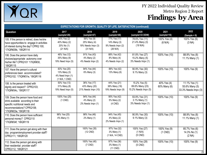

| <b>EXPECTATIONS FOR GROWTH, QUALITY OF LIFE, SATISFACTION (continued)</b>                                                                                        |                                                                    |                                                               |                                                               |                                                             |                             |                                                         |  |  |
|------------------------------------------------------------------------------------------------------------------------------------------------------------------|--------------------------------------------------------------------|---------------------------------------------------------------|---------------------------------------------------------------|-------------------------------------------------------------|-----------------------------|---------------------------------------------------------|--|--|
| Question                                                                                                                                                         | 2017<br>(sample=26)                                                | 2018<br>(sample=47)                                           | 2019<br>(sample=48)                                           | 2020<br>(sample=33 DDW)                                     | 2021<br>(sample=10)         | 2022<br>$(Sample = 9)$                                  |  |  |
| 105. If the person is retired, does he/she<br>have opportunities to engage in activities<br>of interest during the day? CPRQ 100;<br>'17IQR#29b, '18IQR114       | 40% Yes (2)<br>40% Many (2)<br>20% No (1)<br>(21 N/A)              | 56% Yes (9)<br>25% Many (4)<br>19% Needs Impv (3)<br>(31 N/A) | 77% Yes (17)<br>14% Many (3)<br>9% Needs Impv (2)<br>(26 N/A) | 78.6% Yes (11)<br>21.4% Many (3)<br>(19 N/A)                | 100% Yes (4)<br>(6 N/A)     | 100% Yes (6)<br>(3 NA)                                  |  |  |
| 106. Does the person have daily<br>choices/appropriate autonomy over<br>his/her life? CPRQ101 '17IQR#30,<br>18IQR115                                             | 46% Yes (12)<br>35% Many (9)<br>19% Need Impv (5)                  | 91% Yes (43)<br>4% Many (2)<br>4% Needs Impv (2)              | 88% Yes (42)<br>8% Many (4)<br>4% Needs Impv (2)              | 81.8% Yes (27)<br>15.2% Many (5)<br>3% Needs Impv (1)       | 100% Yes (10)               | 88.9% Yes (8)<br>11.1% Many (1)                         |  |  |
| 107. Have the person's cultural<br>preferences been accommodated?<br>CPRQ102; '17IQR#31e, '18IQR116                                                              | 83% Yes (20)<br>13% Many (3)<br>4% Need Impv (1)<br>(1 N/A, 1 CND) | 94% Yes (44)<br>6% Many (3)                                   | 88% Yes (42)<br>13% Many (6)                                  | 90.9% Yes (30)<br>9.1% Many (3)                             | 100% Yes (10)               | 100% Yes (9)                                            |  |  |
| 108. Is the person treated with<br>dignity and respect? CPRQ103;<br>'17IQR#34c, '18IQR117                                                                        | 50% Yes (13)<br>31% Many (8)<br>19% Need Impv (5)                  | 36% Yes (17)<br>43% Many (20)<br>21% Needs Impv (10)          | 44% Yes (21)<br>38% Many (18)<br>19% Needs Impv (9)           | $15.2\%$ Yes (5)<br>69.6% Many (23)<br>15.2% Needs Impv (5) | 40% Yes (4)<br>60% Many (6) | 11.1% Yes (1)<br>55.6% Many (5)<br>33.3% Needs Impv (3) |  |  |
| 109. Does the person have food and<br>drink available according to their<br>specific nutritional needs and<br>recommendations? CPRQ108;<br>'17IQR#23e, '18IQR118 | 100% Yes (25)<br>$(1$ CND)                                         | 94% Yes (44)<br>4% Many (2)<br>2% Needs Impv (1)              | 95% Yes (42)<br>5% Many (2)<br>$(4$ CND)                      | 93.9% Yes (31)<br>3.1% Many (1)<br>3% Needs Impv (1)        | 100% Yes (10)               | 100% Yes (9)                                            |  |  |
| 110. Does the person have sufficient<br>personal money? CPRQ110<br>'17IQR#34f, '18IQR119                                                                         | 96% Yes (25)<br>4% Many (1)                                        | 98% Yes (46)<br>2% Many (1)                                   | 94% Yes (45)<br>4% Many (2)<br>2% Needs Impv (1)              | 90.9% Yes (30)<br>9.1% Many (3)                             | 100% Yes (10)               | 88.9% Yes (8)<br>11.1% Many (1)                         |  |  |
| 111. Does the person get along with their<br>day program/employment provider staff?<br>CPRQ111, '18IQR120                                                        |                                                                    | 100% Yes (35)<br>$(12$ CND)                                   | 97% Yes (32)<br>3% Many (1)<br>(1 N/A, 14 CND)                | 100% Yes (27)<br>(1 N/A)<br>$(5$ CND)                       | 100% Yes (9)<br>$(1$ CND)   | 85.7% Yes (6)<br>14.3% No (1)<br>(2 NA)                 |  |  |
| 112. Does the person get along with<br>their residential provider staff?<br>CPRQ112, '18IQR121                                                                   |                                                                    | 100% Yes (40)<br>$(7$ CND)                                    | 97% Yes (36)<br>3% Many (1)<br>$(11$ CND)                     | 100% Yes (28)<br>$(5$ CND)                                  | 100% Yes (10)               | 100% Yes (9)                                            |  |  |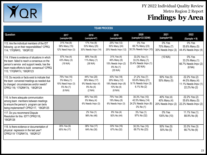

| <b>TEAM PROCESS</b>                                                                                                                                                                                                        |                                                                          |                                                                            |                                                                              |                                                                           |                                                   |                                                                         |  |  |
|----------------------------------------------------------------------------------------------------------------------------------------------------------------------------------------------------------------------------|--------------------------------------------------------------------------|----------------------------------------------------------------------------|------------------------------------------------------------------------------|---------------------------------------------------------------------------|---------------------------------------------------|-------------------------------------------------------------------------|--|--|
| Question                                                                                                                                                                                                                   | 2017<br>(sample=26)                                                      | 2018<br>(sample=47)                                                        | 2019<br>(sample=48)                                                          | 2020<br>(sample=33 DDW)                                                   | 2021<br>(sample=10)                               | 2022<br>$(Sample = 9)$                                                  |  |  |
| 113. Are the individual members of the IDT<br>following up on their responsibilities? CPRQ<br>114; '17IQR#10, '18IQR122                                                                                                    | 31% Yes (8)<br>58% Many (15)<br>12% Need $Impv(3)$                       | 17% Yes (8)<br>53% Many (25)<br>30% Needs Impv (14)                        | 25% Yes (12)<br>50% Many (24)<br>25% Needs Impy (12)                         | 0% Yes<br>69.7% Many (23)<br>30.3% Needs Impv (10)                        | 0% Yes<br>70% Many (7)<br>30% Needs Impv (3)      | 0% Yes<br>55.6% Many (5)<br>44.4% Needs Impv (4)                        |  |  |
| 114. If there is evidence of situations in which<br>the team failed to reach a consensus on the<br>person's service and support needs, has the<br>team made efforts to build consensus? CPRQ<br>115; '17IQR#17c, '18IQR123 | 57% Yes (4)<br>43% Many (3)<br>(19 N/A)                                  | 89% Yes (8)<br>11% Many (1)<br>(38 N/A)                                    | 31% Yes (4)<br>46% Many (6)<br>15% Needs Impv (2)<br>8% No (1)<br>(35 N/A)   | 33.3% Yes (1)<br>33.3% Many (1)<br>33.4% Needs Impv (1)<br>(30 N/A)       | (10 N/A)                                          | 0% Yes<br>33.3% Many (1)<br>66.7% Needs Impv (2)<br>(6 NA)              |  |  |
| 115. Do records or facts exist to indicate that<br>the team convened meetings as needed due<br>to changed circumstances and/or needs?<br>CPRQ 116; '17IQR#17d, '18IQR124                                                   | 75% Yes (15)<br>5% Many (1)<br>15% Need Impv (3)<br>5% No (1)<br>(6 N/A) | 44% Yes (20)<br>38% Many (17)<br>9% Needs Impv (4)<br>9% No (4)<br>(2 N/A) | 43% Yes (18)<br>29% Many (12)<br>19% Needs Impv (8)<br>10% No (4)<br>(6 N/A) | 21.2% Yes (7)<br>63.6% Many (21)<br>9.1% Needs Impv (3)<br>$6.1\%$ No (2) | 50% Yes (5)<br>50% Many (5)                       | 22.2% Yes (2)<br>44.5% Many (4)<br>11.1% Needs Impv (1)<br>22.2% No (2) |  |  |
| 116. Is there adequate communication<br>among team members between meetings<br>to ensure the person's program can be/is<br>being implemented? CPRQ117, '18IQR125                                                           |                                                                          | 85% Yes (40)<br>9% Many (4)<br>6% Needs Impv (3)                           | 75% Yes (36)<br>19% Many (9)<br>6% Needs Impv (3)                            | 30.3% Yes (10)<br>42.5% Many (14)<br>24.2% Needs Impv (8)<br>3% No (1)    | 40% Yes (4)<br>40% Many (4)<br>20% Needs Impv (2) | 22.2% Yes (2)<br>55.6% Many (5)<br>22.2% Needs Impv (2)                 |  |  |
| 117. Do you recommend Dispute<br>Resolution for this IDT? CPRQ118,<br>18IQR126                                                                                                                                             |                                                                          | 2% Yes (1)<br>98% No (46)                                                  | 8% Yes (4)<br>92% No (44)                                                    | 3% Yes (1)<br>97% No (32)                                                 | 0% Yes<br>100% No (10)                            | 11.1% Yes (1)<br>88.9% No (8)                                           |  |  |
| 118. Is there evidence or documentation of<br>physical regression in the last year?<br>CPRQ119 '17IQR#17d, '18IQR127                                                                                                       | 35% Yes (9)<br>65% No (17)                                               | 36% Yes (17)<br>64% No (30)                                                | 33% Yes (16)<br>67% No (32)                                                  | 30.3% Yes (10)<br>69.7% No (23)                                           | 50% Yes (5)<br>50% No (5)                         | 33.3% Yes (3)<br>66.7% No (6)                                           |  |  |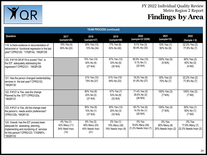

| <b>TEAM PROCESS (continued)</b>                                                                                                                                             |                                                      |                                                       |                                                   |                                                   |                                              |                                                  |  |
|-----------------------------------------------------------------------------------------------------------------------------------------------------------------------------|------------------------------------------------------|-------------------------------------------------------|---------------------------------------------------|---------------------------------------------------|----------------------------------------------|--------------------------------------------------|--|
| Question                                                                                                                                                                    | 2017<br>(sample=26)                                  | 2018<br>(sample=47)                                   | 2019<br>(sample=48)                               | 2020<br>(sample=33 DDW)                           | 2021<br>(sample=10)                          | 2022<br>$(Sample = 9)$                           |  |
| 119. Is there evidence or documentation of<br>behavioral or functional regression in the last<br>year? CPRQ120; '17IQR14c, '18IQR128                                        | 15% Yes (4)<br>85% No (22)                           | 28% Yes (13)<br>72% No (34)                           | 17% Yes (8)<br>83% No (40)                        | 9.1% Yes (3)<br>90.9% No (30)                     | 10% Yes (1)<br>90% No (9)                    | 22.2% Yes (2)<br>77.8% No (7)                    |  |
| 120. If #118 OR #119 is scored "Yes", is<br>the IDT adequately addressing the<br>regression? CPRQ121; '18IQR129                                                             |                                                      | 70% Yes (14)<br>30% No (6)<br>(27 N/A)                | 67% Yes (12)<br>33% No (6)<br>(30 N/A)            | 90.9% Yes (10)<br>$9.1\%$ No (1)<br>(22 N/A)      | 100% Yes (5)<br>(5 N/A)                      | 60% Yes (3)<br>40% No (2)<br>(4 NA)              |  |
| 121. Has the person changed residential/day<br>services in the last year? CPRQ122,<br>'18IQR130                                                                             |                                                      | 21% Yes (10)<br>79% No (37)                           | 31% Yes (15)<br>69% No (33)                       | 18.2% Yes (6)<br>81.8% No (27)                    | 30% Yes (3)<br>70% No (7)                    | 22.2% Yes (2)<br>77.8% No (7)                    |  |
| 122. If #121 is Yes, was the change<br>Planned by the IDT? CPRQ122a,<br>'18IQR131                                                                                           |                                                      | 80% Yes (8)<br>20% No (2)<br>(37 N/A)                 | 47% Yes (7)<br>53% No (8)<br>(33 N/A)             | 71.4% Yes (5)<br>28.6% No (2)<br>(26 N/A)         | 100% Yes (3)<br>(7 N/A)                      | 100% Yes (2)<br>(7 NA)                           |  |
| 123. If #121 is Yes, did the change meet<br>the person's needs and/or preferences?<br>CPRQ122b, '18IQR132                                                                   |                                                      | 90% Yes (9)<br>10% No (1)<br>(37 N/A)                 | 80% Yes (12)<br>20% No (3)<br>(33 N/A)            | 85.7% Yes (6)<br>14.3% No (1)<br>(26 N/A)         | 100% Yes (3)<br>(7 N/A)                      | 50% Yes (1)<br>50% No (1)<br>(7 NA)              |  |
| 124. Overall, has the IDT process been<br>adequate for assessing, planning,<br>implementing and monitoring of services<br>for this person? CPRQ123; '17IQR#7n,<br>'18IQR133 | 4% Yes (1)<br>42% Many (11)<br>54% Need Impv<br>(14) | 6% Yes (3)<br>49% Many (23)<br>45% Needs Impv<br>(21) | 2% Yes (1)<br>79% Many (38)<br>19% Needs Impv (9) | 0% Yes<br>78.8% Many (26)<br>21.2% Needs Impv (7) | 0% Yes<br>80% Many (8)<br>20% Needs Impv (2) | 0% Yes<br>77.8% Many (7)<br>22.2% Needs Impv (2) |  |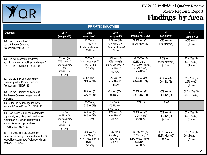

| <b>SUPPORTED EMPLOYMENT</b>                                                                                                                                                                |                                                                              |                                                                             |                                                                                                |                                                                                    |                                            |                                       |  |
|--------------------------------------------------------------------------------------------------------------------------------------------------------------------------------------------|------------------------------------------------------------------------------|-----------------------------------------------------------------------------|------------------------------------------------------------------------------------------------|------------------------------------------------------------------------------------|--------------------------------------------|---------------------------------------|--|
| Question                                                                                                                                                                                   | 2017<br>(sample=26)                                                          | 2018<br>(sample=47)                                                         | 2019<br>(sample=48)                                                                            | 2020<br>(sample=33 DDW)                                                            | 2021<br>(sample=10)                        | 2022<br>$(Sample = 9)$                |  |
| 125. Does (Name) have a<br>current Person-Centered<br>Assessment? '18IQR134                                                                                                                |                                                                              | $9%$ Yes (4)<br>13% Many (6)<br>60% Needs Impv (27)<br>18% No (8)           | 41% Yes (19)<br>43% Many (20)<br>15% Needs Impv (7)<br>(2 N/A)                                 | 69.7% Yes (23)<br>30.3% Many (10)                                                  | 90% Yes (9)<br>10% Many (1)                | 100% Yes (8)<br>(1 NA)                |  |
| 126. Did this assessment address<br>vocational interests, abilities and needs?<br>CPRQ126; '17IQR#26a, '18IQR135                                                                           | 9% Yes (2)<br>22% Many (3)<br>22% Need Impv<br>(5)<br>57% No (13)<br>(3 N/A) | 7% Yes (2)<br>28% Needs Impv (7)<br>68% No (19)<br>(17 N/A)                 | $\sqrt{37\% \text{ Yes}}$ (13)<br>26% Many (9)<br>6% Needs Impv (2)<br>31% No (11)<br>(13 N/A) | 39.2% Yes (9)<br>30.4% Many (7)<br>8.7% Needs Impv (2)<br>21.7% No (5)<br>(10 N/A) | 14.3% Yes (1)<br>85.7% Many (6)<br>(3 N/A) | 40% Yes (2)<br>60% No (3)<br>(4 NA)   |  |
| 127. Did the individual participate<br>personally in the Person Centered<br>Assessment? '18IQR136                                                                                          |                                                                              | 31% Yes (14)<br>69% No (31)                                                 | 59% Yes (27)<br>41% No (19)<br>(2 N/A)                                                         | 36.4% Yes (12)<br>63.6% No (21)                                                    | 80% Yes (8)<br>20% No (2)                  | 75% Yes (6)<br>25% No (2)<br>(1 NA)   |  |
| 128. Did the Guardian participate in<br>the Person Centered Assessment?<br>18IQR137                                                                                                        |                                                                              | 20% Yes (9)<br>80% No (36)                                                  | 42% Yes (20)<br>58% No (28)                                                                    | 66.7% Yes (22)<br>33.3% No (11)                                                    | 80% Yes (8)<br>20% No (2)                  | 66.7% Yes (6)<br>33.3% No (3)         |  |
| 129. Is the individual engaged in the<br>Informed Choice Project? '18IQR138                                                                                                                |                                                                              | 9% Yes (4)<br>91% No (43)                                                   | 13% Yes (6)<br>87% No (40)<br>(2 Not Scored)                                                   | 100% N/A                                                                           | (10 N/A)                                   |                                       |  |
| 130. Has the individual been offered the<br>opportunity to participate in work or job<br>exploration including volunteer work<br>and/or trial work opportunities?<br>'17IQR#26e, '18IQR139 | 0% Yes<br>9% Many (2)<br>26% Need Impv<br>(6)<br>65% No (15)<br>(3 N/A)      | 24% Yes (7)<br>76% No (22)<br>(16 N/A)                                      | 40% Yes (12)<br>60% No (18)<br>(18 N/A)                                                        | 57.1% Yes (12)<br>42.9% No (9)<br>(12 N/A)                                         | 75% Yes (6)<br>25% No (2)<br>(2 N/A)       | 50% Yes (2)<br>50% No (2)<br>(5 NA)   |  |
| 131. If #130 is Yes, are these new<br>experiences clearly documented in the ISP<br>Work, Education and/or Volunteer History<br>section? '18IQR140                                          |                                                                              | 29% Yes (2)<br>14% Many (1)<br>43% Needs Impv (3)<br>14% No (1)<br>(38 N/A) | 75% Yes (9)<br>8% Many (1)<br>17% No (2)<br>(36 N/A)                                           | 66.7% Yes (8)<br>16.7% Many (2)<br>8.3% Needs Impv (1)<br>8.3% No (1)<br>(21 N/A)  | 66.7% Yes (4)<br>33.3% Many (2)<br>(4 N/A) | 50% Yes (1)<br>50% Many (1)<br>(7 NA) |  |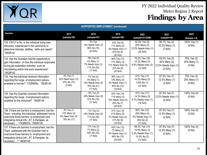

| <b>SUPPORTED EMPLOYMENT (continued)</b>                                                                                                                                                                                                  |                                                               |                                                                                |                                                                              |                                                                                     |                                                                  |                                       |  |
|------------------------------------------------------------------------------------------------------------------------------------------------------------------------------------------------------------------------------------------|---------------------------------------------------------------|--------------------------------------------------------------------------------|------------------------------------------------------------------------------|-------------------------------------------------------------------------------------|------------------------------------------------------------------|---------------------------------------|--|
| Question                                                                                                                                                                                                                                 | 2017<br>(sample=26)                                           | 2018<br>(sample=47)                                                            | 2019<br>(sample=48)                                                          | 2020<br>(sample=33 DDW)                                                             | 2021<br>(sample=10)                                              | 2022<br>$(Sample = 9)$                |  |
| 132. If #131 is No, is the individual trying new<br>discovery experiences in the community to<br>determine interests, abilities, skills and needs?<br>'18IQR141                                                                          |                                                               | 0% Yes<br>14% Needs Impv (3)<br>86% No (19)<br>(23 N/A)                        | 33% Yes (6)<br>11% Many (2)<br>6% Needs Impv (1)<br>50% No (9)<br>(30 N/A)   | 62.5% Yes (5)<br>25% Many (2)<br>12.5% Needs Impv (1)<br>(25 N/A)                   | 66.7% Yes (2)<br>33.3% Many (1)<br>(7 N/A)                       | 100% Yes (1)<br>(8 NA)                |  |
| 133. Has the Guardian had the opportunity to<br>gain information on how the individual responded<br>during job exploration activities such as<br>volunteering and/or trial work experiences?<br>'18IQR142                                |                                                               | 18% Yes (5)<br>4% Many (1)<br>7% Needs Impv (2)<br>71% No (20)<br>(17 N/A)     | 46% Yes (13)<br>11% Many (3)<br>11% Needs Impv (3)<br>32% No (9)<br>(20 N/A) | 76.2% Yes (16)<br>14.3% Many (3)<br>9.5% Needs Impv (2)<br>(12 N/A)                 | 62.5% Yes (5)<br>25% Many (2)<br>12.5% Needs Impv (1)<br>(2 N/A) | 75% Yes (3)<br>25% Many (1)<br>(5 NA) |  |
| 134. Has the individual received information<br>regarding the range of employment options<br>available to him/her? '17IQR#26c, '18IQR143                                                                                                 | 4% Yes (1)<br>52% Need Impv (12)<br>43% No (10)<br>(3 N/A)    | 7% Yes (2)<br>4% Many (1)<br>14% Needs Impv (4)<br>75% No (21)<br>(17 N/A)     | 38% Yes (11)<br>14% Many (4)<br>3% Needs Impv (1)<br>45% No (13)<br>(19 N/A) | 81% Yes (17)<br>14.2% Many (3)<br>4.8% No (1)<br>(12 N/A)                           | 87.5% Yes (7)<br>12.5% Many (1)<br>(2 N/A)                       | 75% Yes (3)<br>25% Many (1)<br>(5 NA) |  |
| 135. Has the Guardian received information<br>regarding the range of employment options<br>available for the individual? '18IQR144                                                                                                       |                                                               | $\sqrt{14\% \text{ Yes}}$ (4)<br>29% Needs Impv (8)<br>57% No (16)<br>(17 N/A) | 50% Yes (14)<br>11% Many (3)<br>14% Needs Impv (4)<br>25% No (7)<br>(20 N/A) | 81% Yes (17)<br>14.3% Many (3)<br>4.7% Needs Impv (1)<br>(12 N/A)                   | 87.5% Yes (7)<br>12.5% Needs Impv (1)<br>(2 N/A)                 | 100% Yes (4)<br>(5 NA)                |  |
| 136. If there are barriers to employment, has the<br>Team, including the individual, addressed how to<br>overcome those barriers to employment and<br>integrating clinical info., AT, & therapies as<br>necessary  '17IQR#27b, '18IQR145 | 4% Yes (1)<br>13% Many (3)<br>9% Need Impv (2)<br>79% No (17) | 11% Yes (3)<br>18% Needs Impv (5)<br>71% No (20)<br>(17 N/A)                   | 41% Yes (12)<br>21% Many (6)<br>7% Needs Impv (2)<br>31% No (9)<br>(19 N/A)  | 60% Yes (12)<br>20% Many (4)<br>5% Needs Impv (1)<br>15% No (3)<br>(13 N/A)         | 87.5% Yes (7)<br>12.5% Many (1)<br>(2 N/A)                       | 100% Yes (4)<br>(5 NA)                |  |
| 137. If there are barriers to employment, has the<br>Team addressed with the Guardian how to<br>overcome those barriers to employment and<br>integrating clinical info., AT, & therapies as<br>necessary ? '18IQR146                     |                                                               | $11\%$ Yes (3)<br>7% Many (2)<br>82% No (23)<br>(17 N/A)                       | 43% Yes (12)<br>7% Many (2)<br>4% Needs Impv (1)<br>46% No (13)<br>(20 N/A)  | 68.4% Yes (13)<br>15.8% Many (3)<br>5.3% Needs Impv (1)<br>10.5% No (2)<br>(14 N/A) | 87.5% Yes (7)<br>12.5% Many (1)<br>(2 N/A)                       | 100% Yes (4)<br>(5 NA)                |  |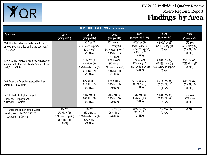

| <b>SUPPORTED EMPLOYMENT (continued)</b>                                                                               |                                                                      |                                                                             |                                                                              |                                                                                  |                                                                    |                                                |  |
|-----------------------------------------------------------------------------------------------------------------------|----------------------------------------------------------------------|-----------------------------------------------------------------------------|------------------------------------------------------------------------------|----------------------------------------------------------------------------------|--------------------------------------------------------------------|------------------------------------------------|--|
| Question                                                                                                              | 2017<br>(sample=26)                                                  | 2018<br>(sample=47)                                                         | 2019<br>(sample=48)                                                          | 2020<br>(sample=33 DDW)                                                          | 2021<br>(sample=10)                                                | 2022<br>$(Sample = 9)$                         |  |
| 138. Has the individual participated in work<br>or volunteer activities during the past year?<br>'18IQR147            |                                                                      | 18% Yes (5)<br>50% Needs Impv (14)<br>32% No (9)<br>(17 N/A)                | 40% Yes (12)<br>7% Many (2)<br>3% Needs Impv (1)<br>50% No (15)<br>(18 N/A)  | 50% Yes (9)<br>27.8% Many (5)<br>5.5% Needs Impv (1)<br>16.7% No (3)<br>(15 N/A) | 42.9% Yes (3)<br>57.1% Many (4)<br>(3 N/A)                         | 0% Yes<br>50% Many (2)<br>50% No (2)<br>(5 NA) |  |
| 139. Has the individual identified what type of<br>work or volunteer activities he/she would like<br>to do? '18IQR148 |                                                                      | 11% Yes (3)<br>4% Many (1)<br>25% Needs Impv (7)<br>61% No (17)<br>(17 N/A) | 43% Yes (13)<br>13% Many (4)<br>3% Needs Impv (1)<br>42% No (13)<br>(17 N/A) | 50% Yes (10)<br>35% Many (7)<br>15% Needs Impv (3)<br>(13 N/A)                   | 28.6% Yes (2)<br>57.1% Many (4)<br>14.3% Needs Impv (1)<br>(3 N/A) | 25% Yes (1)<br>75% Many (3)<br>(5 NA)          |  |
| 140. Does the Guardian support him/her<br>working? '18IQR149                                                          |                                                                      | 39% Yes (11)<br>61% No (17)<br>(17 N/A)                                     | 41% Yes (12)<br>59% No (17)<br>(19 N/A)                                      | 57.1% Yes (12)<br>42.9% No (9)<br>(12 N/A)                                       | 66.7% Yes (4)<br>33.3% No (2)<br>(4 N/A)                           | 50% Yes (2)<br>50% No (2)<br>(5 NA)            |  |
| 142. Is the individual engaged in<br>Supported Employment?<br>CPRQ129, '18IQR151                                      |                                                                      | $14%$ Yes (4)<br>86% No (24)<br>(17 N/A)                                    | 21% Yes (6)<br>79% No (22)<br>(20 N/A)                                       | 15% Yes (3)<br>85% No (17)<br>(13 N/A)                                           | 14.3% Yes (1)<br>85.7% No (6)<br>(3 N/A)                           | 0% Yes<br>100% No (4)<br>(5 NA)                |  |
| 144. Does the person have a Career<br>Development Plan? CPRQ128<br>17IQR#26e, '18IQR153                               | 0% Yes<br>9% Many (2)<br>26% Need Impv (6)<br>65% No (15)<br>(3 N/A) | 0% Yes<br>33% Many (2)<br>17% Needs Impv (1)<br>50% No (3)<br>(39 N/A)      | 75% Yes (6)<br>25% No (2)<br>(40 N/A)                                        | 60% Yes (3)<br>40% No (2)<br>(28 N/A)                                            | 100% Yes (1)<br>(9 N/A)                                            | (9 NA)                                         |  |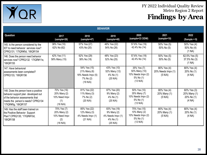

| <b>BEHAVIOR</b>                                                                                                                                                             |                                                                  |                                                                             |                                                                           |                                                                             |                                              |                                                     |  |  |
|-----------------------------------------------------------------------------------------------------------------------------------------------------------------------------|------------------------------------------------------------------|-----------------------------------------------------------------------------|---------------------------------------------------------------------------|-----------------------------------------------------------------------------|----------------------------------------------|-----------------------------------------------------|--|--|
| Question                                                                                                                                                                    | 2017<br>(sample=26)                                              | 2018<br>(sample=47)                                                         | 2019<br>(sample=48)                                                       | 2020<br>(sample=33 DDW)                                                     | 2021<br>(sample=10)                          | 2022<br>$(Sample = 9)$                              |  |  |
| 145. Is the person considered by the<br>IDT to need behavior services now?<br>CPRQ131; '17IQR#5d, '18IQR154                                                                 | 38% Yes (10)<br>62% No (62)                                      | 57% Yes (27)<br>43% No (20)                                                 | 46% Yes (22)<br>54% No (26)                                               | 57.6% Yes (19)<br>42.4% No (14)                                             | 50% Yes (5)<br>50% No (5)                    | 50% Yes (4)<br>50% No (4)<br>(1 NA)                 |  |  |
| 146. Does the person need behavior<br>services now? CPRQ132 '17IQR#11e,<br>18IQR155                                                                                         | 42% Yes (11)<br>58% Many (15)                                    | 62% Yes (29)<br>38% No (18)                                                 | 48% Yes (23)<br>52% No (25)                                               | 57.6% Yes (19)<br>42.4% No (14)                                             | 50% Yes (5)<br>50% No (5)                    | 62.5% Yes (5)<br>37.5% No (3)<br>(1 NA)             |  |  |
| 147. Have behavioral<br>assessments been completed?<br>CPRQ133, '18IQR156                                                                                                   |                                                                  | 54% Yes (15)<br>21% Many (6)<br>18% Needs Impv (5)<br>7% No (2)<br>(19 N/A) | 43% Yes (10)<br>52% Many (12)<br>4% No (1)<br>$(25 \text{ N/A})$          | 35% Yes (7)<br>50% Many (10)<br>10% Needs Impv (2)<br>5% No (1)<br>(13 N/A) | 80% Yes (4)<br>20% Needs Impv (1)<br>(5 N/A) | 80% Yes (4)<br>20% No (1)<br>(4 NA)                 |  |  |
| 148. Does the person have a positive<br>behavior support plan developed out<br>of the behavior assessments that<br>meets the person's needs? CPRQ134<br>17IQR#5g, '18IQR157 | 70% Yes (16)<br>20% Many (2)<br>10% Need Impv<br>(1)<br>(16 N/A) | 81% Yes (22)<br>11% Many (3)<br>7% No (2)<br>(20 N/A)                       | 87% Yes (20)<br>9% Many (2)<br>4% No (1)<br>(25 N/A)                      | 50% Yes (10)<br>35% Many (7)<br>10% Needs Impv (2)<br>5% No (1)<br>(13 N/A) | 80% Yes (4)<br>20% Many (1)<br>(5 N/A)       | 60% Yes (3)<br>20% Many (1)<br>20% No (1)<br>(4 NA) |  |  |
| 149. Has the staff been trained on<br>the Positive Behavior Support<br>Plan? CPRQ135; '17IQR#10d,<br>'18IQR158                                                              | 70% Yes (7)<br>20% Many (2)<br>10% Need Impv<br>(2)<br>(16 N/A)  | 85% Yes (22)<br>12% Many (3)<br>4% Needs Impv (1)<br>(21 N/A)               | 83% Yes (19)<br>9% Many (2)<br>4% Needs Impv (1)<br>4% No (1)<br>(25 N/A) | 75% Yes (15)<br>10% Many (2)<br>10% Needs Impv (2)<br>5% No (1)<br>(13 N/A) | 80% Yes (4)<br>20% Many (1)<br>(5 N/A)       | 80% Yes (4)<br>20% No (1)<br>(4 NA)                 |  |  |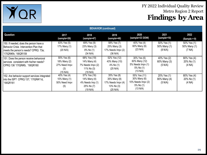

| <b>BEHAVIOR</b> (continued)                                                                                                                     |                                                                 |                                                                               |                                                                             |                                                                             |                                        |                                       |  |
|-------------------------------------------------------------------------------------------------------------------------------------------------|-----------------------------------------------------------------|-------------------------------------------------------------------------------|-----------------------------------------------------------------------------|-----------------------------------------------------------------------------|----------------------------------------|---------------------------------------|--|
| Question                                                                                                                                        | 2017<br>(sample=26)                                             | 2018<br>(sample=47)                                                           | 2019<br>(sample=48)                                                         | 2020<br>(sample=33 DDW)                                                     | 2021<br>(sample=10)                    | 2022<br>$(Sample = 9)$                |  |
| 150. If needed, does the person have a<br>Behavior Crisis Intervention Plan that<br>meets the person's needs? CPRQ 73a;<br>'17IQR#5h, '18IQR159 | 83% Yes (5)<br>17% Many (1)<br>(20 N/A)                         | 69% Yes (9)<br>23% Many (3)<br>8% No (1)<br>(34 N/A)                          | 58% Yes (7)<br>25% Many (3)<br>17% Needs Impv (2)<br>(36 N/A)               | 40% Yes (4)<br>60% Many (6)<br>$(23 \text{ N/A})$                           | 50% Yes (1)<br>50% Many (1)<br>(8 N/A) | 50% Yes (1)<br>50% Many (1)<br>(7 NA) |  |
| 151. Does the person receive behavioral<br>services consistent with his/her needs?<br>CPRQ 136 '17IQR#5i, '18IQR160                             | 55% Yes (6)<br>18% Many (2)<br>27% Need Impv<br>(3)<br>(15 N/A) | 68% Yes (19)<br>14% Many (4)<br>7% Needs Impv (2)<br>11% No $(3)$<br>(19 N/A) | 52% Yes (12)<br>43% Many (10)<br>4% No (1)<br>$(25 \text{ N/A})$            | 30% Yes (6)<br>60% Many (12)<br>5% Needs Impv (1)<br>5% No (1)<br>(13 N/A)  | 40% Yes (2)<br>60% Many (3)<br>(5 N/A) | 80% Yes (4)<br>20% No (1)<br>(4 NA)   |  |
| 152. Are behavior support services integrated<br>into the ISP? CPRQ 137; '17IQR#11d,<br>'18IQR161                                               | 40% Yes (4)<br>10% Many (1)<br>50% Need Impy<br>(5)             | 57% Yes (16)<br>14% Many (4)<br>4% Needs Imp (1)<br>25% No (7)<br>(19 N/A)    | 35% Yes (8)<br>35% Many (8)<br>17% Needs Impv (4)<br>13% No (3)<br>(25 N/A) | 55% Yes (11)<br>30% Many (6)<br>10% Needs Impv (2)<br>5% No (1)<br>(13 N/A) | 20% Yes (1)<br>80% Many (4)<br>(5 N/A) | 80% Yes (4)<br>20% No (1)<br>(4 NA)   |  |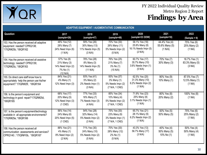

| <b>ADAPTIVE EQUIPMENT / AUGMENTATIVE COMMUNICATION</b>                                                                 |                                                                           |                                                                |                                                                     |                                                                     |                                            |                                           |  |
|------------------------------------------------------------------------------------------------------------------------|---------------------------------------------------------------------------|----------------------------------------------------------------|---------------------------------------------------------------------|---------------------------------------------------------------------|--------------------------------------------|-------------------------------------------|--|
| Question                                                                                                               | 2017<br>$(sample=26)$                                                     | 2018<br>(sample=47)                                            | 2019<br>(sample=48)                                                 | 2020<br>(sample=33 DDW)                                             | 2021<br>(sample=10)                        | 2022<br>$(Sample = 9)$                    |  |
| 153. Has the person received all adaptive<br>equipment needed? CPRQ138;<br>'17IQR#25b, '18IQR162                       | 48% Yes (12)<br>28% Many (7)<br>24% Need Impv (6)<br>(1 N/A)              | 59% Yes (26)<br>30% Many (13)<br>11% Needs Impv (5)<br>(3 N/A) | 70% Yes (30)<br>26% Many (11)<br>5% Needs Impv (2)<br>(5 N/A)       | 58.1% Yes (18)<br>25.8% Many (8)<br>16.1% Needs Impv (5)<br>(2 N/A) | 44.4% Yes (4)<br>55.6% Many (5)<br>(1 N/A) | 75% Yes (6)<br>25% Many (2)<br>(1 NA)     |  |
| 154. Has the person received all assistive<br>technology needed? CPRQ139;<br>'17IQR#25c, '18IQR163                     | 57% Yes (8)<br>21% Many (3)<br>14% Need Impv (2)<br>7% No (1)<br>(12 N/A) | 78% Yes (28)<br>8% Many (3)<br>14% Needs Impv (5)<br>(11 N/A)  | 76% Yes (25)<br>21% Many (7)<br>3% No (1)<br>(15 N/A)               | 60.7% Yes (17)<br>35.7% Many (10)<br>3.6% Needs Impv (1)<br>(5 N/A) | 70% Yes (7)<br>30% Many (3)                | 16.7% Yes (1)<br>83.3% Many (5)<br>(3 NA) |  |
| 155. Do direct care staff know how to<br>appropriately help the person use his/her<br>equipment? '17IQR#25f, '18IQR164 | 84% Yes (21)<br>4% Many (1)<br>12% Need Impv (3)                          | 93% Yes (41)<br>5% Many (2)<br>2% Needs Impv (1)<br>(3 N/A)    | 93% Yes (37)<br>3% Many (1)<br>5% Needs Impv (2)<br>(7 N/A, 1 CND)  | 62.5% Yes (20)<br>31.3% Many (10)<br>6.2% Needs Impv (2)<br>(1 N/A) | 90% Yes (9)<br>10% Many (1)                | 87.5% Yes (7)<br>12.5% Many (1)<br>(1 NA) |  |
| 156. Is the person's equipment and<br>technology in good repair?'17IQR#25d,<br>'18IQR165                               | 68% Yes (17)<br>20% Many (5)<br>12% Need Impv (3)<br>$(1$ CND)            | 77% Yes (33)<br>16% Many (7)<br>7% Needs Impv (3)<br>(4 N/A)   | 85% Yes (34)<br>10% Many (4)<br>5% Needs Impv (2)<br>(7 N/A, 1 CND) | 71.9% Yes (23)<br>25% Many (8)<br>3.1% Needs Impv (1)<br>(1 N/A)    | 80% Yes (8)<br>20% Many (2)                | 100% Yes (8)<br>(1 NA)                    |  |
| 157. Is the person's equipment/technology<br>available in all appropriate environments?<br>17IQR#25e, 18IQR166         | 56% Yes (14)<br>24% Many (6)<br>20% Need Impv (5)<br>$(1$ CND)            | 54% Yes (28)<br>32% Many (14)<br>5% Needs Impv (2)<br>(3 N/A)  | 75% Yes (30)<br>23% Many (9)<br>3% Needs Impv (1)<br>(7 N/A, 1 CND) | 65.7% Yes (21)<br>28.1% Many (9)<br>6.2% Needs Impv (2)<br>(1 N/A)  | 50% Yes (5)<br>50% Many (5)                | 75% Yes (6)<br>25% Many (2)<br>(1 NA)     |  |
| 158. Has the person received all<br>communication assessments and services?<br>CPRQ140; '17IQR#10b, '18IQR167          | 88% Yes (21)<br>4% Many (1)<br>8% Need Impv (2)<br>(2 N/A)                | 71% Yes (30)<br>24% Many (10)<br>5% Needs Impv (2)<br>(5 N/A)  | 70% Yes (30)<br>28% Many (12)<br>2% No (1)<br>(5 N/A)               | 43.3% Yes (13)<br>56.7% Many (17)<br>(3 N/A)                        | 40% Yes (4)<br>50% Many (5)<br>10% No (1)  | 50% Yes (4)<br>50% Many (4)<br>(1 NA)     |  |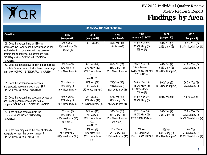

| <b>INDIVIDUAL SERVICE PLANNING</b>                                                                                                                                                                                                               |                                                                 |                                                                      |                                                                  |                                                                           |                                                   |                                                         |  |
|--------------------------------------------------------------------------------------------------------------------------------------------------------------------------------------------------------------------------------------------------|-----------------------------------------------------------------|----------------------------------------------------------------------|------------------------------------------------------------------|---------------------------------------------------------------------------|---------------------------------------------------|---------------------------------------------------------|--|
| Question                                                                                                                                                                                                                                         | 2017<br>(sample=26)                                             | 2018<br>(sample=47)                                                  | 2019<br>(sample=48)                                              | 2020<br>(sample=33 DDW)                                                   | 2021<br>(sample=10)                               | 2022<br>$(Sample = 9)$                                  |  |
| 159. Does the person have an ISP that<br>addresses live, work/learn, fun/relationships and<br>health/other that correlates with the person's<br>desires and capabilities, in accordance with<br>DOH Regulations? CPRQ141 '17IQR#7o,<br>'18IQR168 | 92% Yes (24)<br>4% Need Impv (1)<br>4% No (1)                   | 100% Yes (47)                                                        | 85% Yes (41)<br>15% Many (7)                                     | 81.8% Yes (27)<br>15.2% Many (5)<br>$3\%$ No $(1)$                        | 80% Yes (8)<br>20% Many (2)                       | 88.9% Yes (8)<br>11.1% Needs Impv (1)                   |  |
| 160. Does the person have an ISP that contains a<br>complete Vision Section that is based on a long-<br>term view? CPRQ142 '17IQR#7a, '18IQR169                                                                                                  | 50% Yes (13)<br>19% Many (5)<br>31% Need Impv (8)               | 47% Yes (22)<br>21% Many (10)<br>28% Needs Impv<br>(13)<br>4% No (2) | 65% Yes (31)<br>23% Many (11)<br>13% Needs Impv (6)              | 39.4% Yes (13)<br>36.4% Many (12)<br>12.1% Needs Impv (4)<br>12.1% No (4) | 40% Yes (4)<br>50% Many (5)<br>10% Needs Impv (1) | 77.8% Yes (7)<br>22.2% Many (2)                         |  |
| 161. Does the person receive services<br>and supports recommended in the ISP?<br>CPRQ143; '17IQR#11a, '18IQR170                                                                                                                                  | 50% Yes (13)<br>31% Many (8)<br>19% Need Impv (5)               | 81% Yes (38)<br>11% Many (5)<br>9% Needs Impv (4)                    | 79% Yes (38)<br>19% Many (9)<br>2% Needs Impv (1)                | 78.8% Yes (26)<br>15.2% Many (5)<br>3% Needs Impv (1)<br>$3\%$ No $(1)$   | 90% Yes (9)<br>10% Needs Impv (1)                 | 66.7% Yes (6)<br>33.3% Many (3)                         |  |
| 162. Does the person have adequate access to<br>and use of generic services and natural<br>supports? CPRQ144; '17IQR#33f, '18IQR171                                                                                                              | 58% Yes (15)<br>23% Many (6)<br>19% Need Impv (5)               | 57% Yes (27)<br>26% Many (12)<br>17% Needs Impv (8)                  | 67% Yes (32)<br>31% Many (15)<br>2% Needs Impv (1)               | 81.8% Yes (27)<br>18.2% Many (6)                                          | 100% Yes (10)                                     | 100% Yes (9)                                            |  |
| 163. Is the person integrated into the<br>community? CPRQ145; '17IQR#29g,<br>'18IQR172                                                                                                                                                           | 28% Yes (7)<br>16% Many (4)<br>40% Need Impv (10)<br>16% No (4) | 32% Yes (15)<br>17% Many (8)<br>47% Needs Impv<br>(22)<br>4% No (2)  | 58% Yes (28)<br>23% Many (11)<br>17% Needs Impv (8)<br>2% No (1) | 72.7% Yes (24)<br>18.2% Many (6)<br>9.1% Needs Impv (3)                   | 70% Yes (7)<br>30% Many (3)                       | 55.6% Yes (5)<br>22.2% Many (2)<br>22.2% Needs Impv (2) |  |
| 164. Is the total program of the level of intensity<br>adequate to meet this person's needs?<br>CPRQ147; '17IQR#36, '18IQR174                                                                                                                    | 0% Yes<br>46% Many (12)<br>54% Need Impv (14)                   | 2% Yes (1)<br>66% Many (31)<br>32% Needs Impv<br>(15)                | 13% Yes (6)<br>67% Many (32)<br>21% Needs Impv (10)              | 0% Yes<br>75.8% Many (25)<br>24.2% Needs Impv (8)                         | 0% Yes<br>80% Many (8)<br>20% Needs Impv (2)      | 0% Yes<br>77.8% Many (7)<br>22.2% Needs Impv (2)        |  |